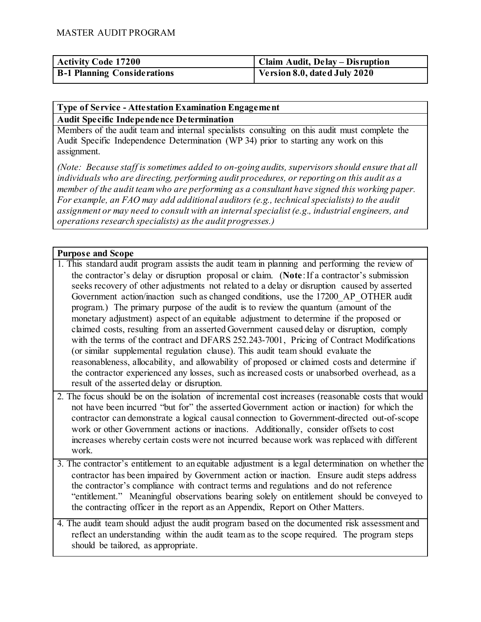| <b>Activity Code 17200</b>         | Claim Audit, Delay – Disruption |
|------------------------------------|---------------------------------|
| <b>B-1 Planning Considerations</b> | Version 8.0, dated July 2020    |

### **Type of Service - Attestation Examination Engagement Audit Specific Independence Determination**

Members of the audit team and internal specialists consulting on this audit must complete the Audit Specific Independence Determination (WP 34) prior to starting any work on this assignment.

*(Note: Because staff is sometimes added to on-going audits, supervisors should ensure that all individuals who are directing, performing audit procedures, or reporting on this audit as a member of the audit team who are performing as a consultant have signed this working paper. For example, an FAO may add additional auditors (e.g., technical specialists) to the audit assignment or may need to consult with an internal specialist (e.g., industrial engineers, and operations research specialists) as the audit progresses.)*

### **Purpose and Scope**

- 1. This standard audit program assists the audit team in planning and performing the review of the contractor's delay or disruption proposal or claim. (**Note**: If a contractor's submission seeks recovery of other adjustments not related to a delay or disruption caused by asserted Government action/inaction such as changed conditions, use the 17200\_AP\_OTHER audit program.) The primary purpose of the audit is to review the quantum (amount of the monetary adjustment) aspect of an equitable adjustment to determine if the proposed or claimed costs, resulting from an asserted Government caused delay or disruption, comply with the terms of the contract and DFARS 252.243-7001, Pricing of Contract Modifications (or similar supplemental regulation clause). This audit team should evaluate the reasonableness, allocability, and allowability of proposed or claimed costs and determine if the contractor experienced any losses, such as increased costs or unabsorbed overhead, as a result of the asserted delay or disruption.
- 2. The focus should be on the isolation of incremental cost increases (reasonable costs that would not have been incurred "but for" the asserted Government action or inaction) for which the contractor can demonstrate a logical causal connection to Government-directed out-of-scope work or other Government actions or inactions. Additionally, consider offsets to cost increases whereby certain costs were not incurred because work was replaced with different work.
- 3. The contractor's entitlement to an equitable adjustment is a legal determination on whether the contractor has been impaired by Government action or inaction. Ensure audit steps address the contractor's compliance with contract terms and regulations and do not reference "entitlement." Meaningful observations bearing solely on entitlement should be conveyed to the contracting officer in the report as an Appendix, Report on Other Matters.
- 4. The audit team should adjust the audit program based on the documented risk assessment and reflect an understanding within the audit team as to the scope required. The program steps should be tailored, as appropriate.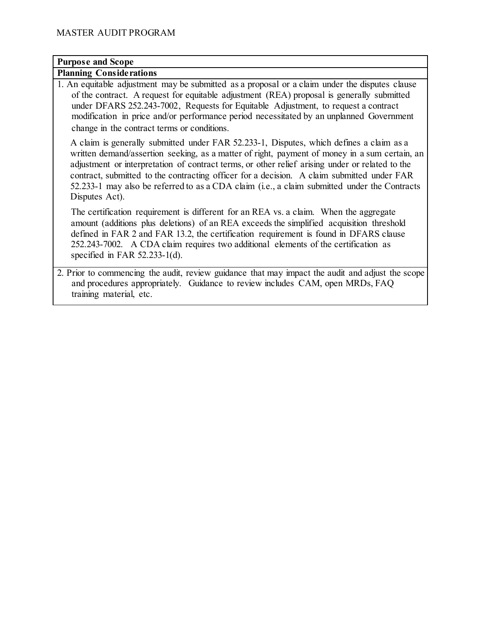# **Purpose and Scope**

## **Planning Considerations**

1. An equitable adjustment may be submitted as a proposal or a claim under the disputes clause of the contract. A request for equitable adjustment (REA) proposal is generally submitted under DFARS 252.243-7002, Requests for Equitable Adjustment, to request a contract modification in price and/or performance period necessitated by an unplanned Government change in the contract terms or conditions.

A claim is generally submitted under FAR 52.233-1, Disputes, which defines a claim as a written demand/assertion seeking, as a matter of right, payment of money in a sum certain, an adjustment or interpretation of contract terms, or other relief arising under or related to the contract, submitted to the contracting officer for a decision. A claim submitted under FAR 52.233-1 may also be referred to as a CDA claim (i.e., a claim submitted under the Contracts Disputes Act).

The certification requirement is different for an REA vs. a claim. When the aggregate amount (additions plus deletions) of an REA exceeds the simplified acquisition threshold defined in FAR 2 and FAR 13.2, the certification requirement is found in DFARS clause 252.243-7002. A CDA claim requires two additional elements of the certification as specified in FAR 52.233-1(d).

2. Prior to commencing the audit, review guidance that may impact the audit and adjust the scope and procedures appropriately. Guidance to review includes CAM, open MRDs, FAQ training material, etc.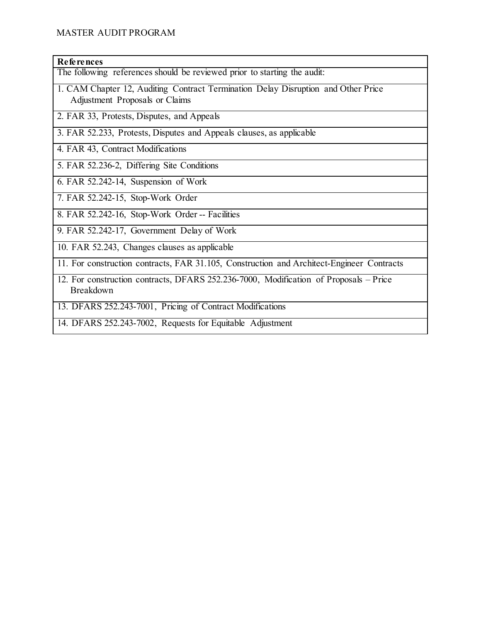### **References**

The following references should be reviewed prior to starting the audit:

- 1. CAM Chapter 12, Auditing Contract Termination Delay Disruption and Other Price Adjustment Proposals or Claims
- 2. FAR 33, Protests, Disputes, and Appeals
- 3. FAR 52.233, Protests, Disputes and Appeals clauses, as applicable
- 4. FAR 43, Contract Modifications
- 5. FAR 52.236-2, Differing Site Conditions
- 6. FAR 52.242-14, Suspension of Work
- 7. FAR 52.242-15, Stop-Work Order
- 8. FAR 52.242-16, Stop-Work Order -- Facilities
- 9. FAR 52.242-17, Government Delay of Work
- 10. FAR 52.243, Changes clauses as applicable
- 11. For construction contracts, FAR 31.105, Construction and Architect-Engineer Contracts
- 12. For construction contracts, DFARS 252.236-7000, Modification of Proposals Price Breakdown
- 13. DFARS 252.243-7001, Pricing of Contract Modifications
- 14. DFARS 252.243-7002, Requests for Equitable Adjustment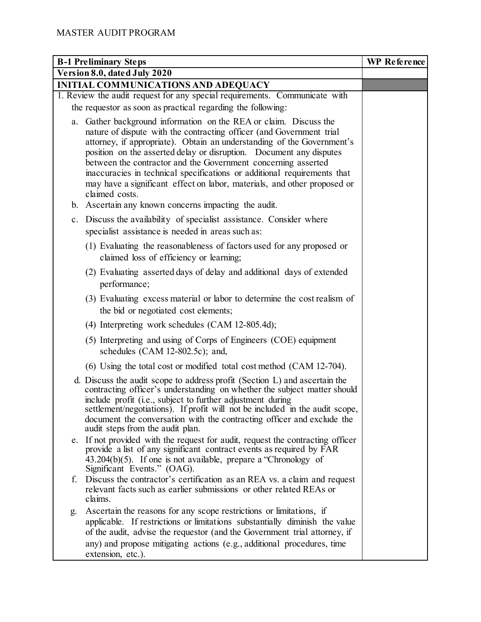|                                                                            | <b>B-1 Preliminary Steps</b>                                                                                                                                                                                                                                                                                                                                                                                                                                                                                                          | WP Reference |
|----------------------------------------------------------------------------|---------------------------------------------------------------------------------------------------------------------------------------------------------------------------------------------------------------------------------------------------------------------------------------------------------------------------------------------------------------------------------------------------------------------------------------------------------------------------------------------------------------------------------------|--------------|
|                                                                            | Version 8.0, dated July 2020                                                                                                                                                                                                                                                                                                                                                                                                                                                                                                          |              |
|                                                                            | INITIAL COMMUNICATIONS AND ADEQUACY                                                                                                                                                                                                                                                                                                                                                                                                                                                                                                   |              |
| 1. Review the audit request for any special requirements. Communicate with |                                                                                                                                                                                                                                                                                                                                                                                                                                                                                                                                       |              |
|                                                                            | the requestor as soon as practical regarding the following:                                                                                                                                                                                                                                                                                                                                                                                                                                                                           |              |
|                                                                            | a. Gather background information on the REA or claim. Discuss the<br>nature of dispute with the contracting officer (and Government trial<br>attorney, if appropriate). Obtain an understanding of the Government's<br>position on the asserted delay or disruption. Document any disputes<br>between the contractor and the Government concerning asserted<br>inaccuracies in technical specifications or additional requirements that<br>may have a significant effect on labor, materials, and other proposed or<br>claimed costs. |              |
|                                                                            | b. Ascertain any known concerns impacting the audit.                                                                                                                                                                                                                                                                                                                                                                                                                                                                                  |              |
|                                                                            | c. Discuss the availability of specialist assistance. Consider where<br>specialist assistance is needed in areas such as:                                                                                                                                                                                                                                                                                                                                                                                                             |              |
|                                                                            | (1) Evaluating the reasonableness of factors used for any proposed or<br>claimed loss of efficiency or learning;                                                                                                                                                                                                                                                                                                                                                                                                                      |              |
|                                                                            | (2) Evaluating asserted days of delay and additional days of extended<br>performance;                                                                                                                                                                                                                                                                                                                                                                                                                                                 |              |
|                                                                            | (3) Evaluating excess material or labor to determine the cost realism of<br>the bid or negotiated cost elements;                                                                                                                                                                                                                                                                                                                                                                                                                      |              |
|                                                                            | (4) Interpreting work schedules (CAM 12-805.4d);                                                                                                                                                                                                                                                                                                                                                                                                                                                                                      |              |
|                                                                            | (5) Interpreting and using of Corps of Engineers (COE) equipment<br>schedules (CAM 12-802.5c); and,                                                                                                                                                                                                                                                                                                                                                                                                                                   |              |
|                                                                            | (6) Using the total cost or modified total cost method (CAM 12-704).                                                                                                                                                                                                                                                                                                                                                                                                                                                                  |              |
|                                                                            | d. Discuss the audit scope to address profit (Section L) and ascertain the<br>contracting officer's understanding on whether the subject matter should<br>include profit (i.e., subject to further adjustment during<br>settlement/negotiations). If profit will not be included in the audit scope,<br>document the conversation with the contracting officer and exclude the<br>audit steps from the audit plan.                                                                                                                    |              |
|                                                                            | e. If not provided with the request for audit, request the contracting officer<br>provide a list of any significant contract events as required by FAR<br>$43.204(b)(5)$ . If one is not available, prepare a "Chronology of<br>Significant Events." (OAG).                                                                                                                                                                                                                                                                           |              |
| f.                                                                         | Discuss the contractor's certification as an REA vs. a claim and request<br>relevant facts such as earlier submissions or other related REAs or<br>claims.                                                                                                                                                                                                                                                                                                                                                                            |              |
| g.                                                                         | Ascertain the reasons for any scope restrictions or limitations, if<br>applicable. If restrictions or limitations substantially diminish the value<br>of the audit, advise the requestor (and the Government trial attorney, if<br>any) and propose mitigating actions (e.g., additional procedures, time<br>extension, etc.).                                                                                                                                                                                                        |              |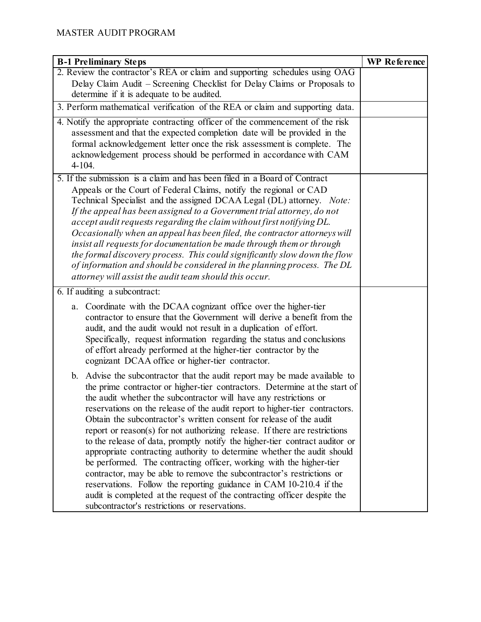| <b>B-1 Preliminary Steps</b>                                                                                                                                                                                                                                                                                                                                                                                                                                                                                                                                                                                                                                                                                                                                                                                                                                                                                                                                                   | WP Reference |
|--------------------------------------------------------------------------------------------------------------------------------------------------------------------------------------------------------------------------------------------------------------------------------------------------------------------------------------------------------------------------------------------------------------------------------------------------------------------------------------------------------------------------------------------------------------------------------------------------------------------------------------------------------------------------------------------------------------------------------------------------------------------------------------------------------------------------------------------------------------------------------------------------------------------------------------------------------------------------------|--------------|
| 2. Review the contractor's REA or claim and supporting schedules using OAG                                                                                                                                                                                                                                                                                                                                                                                                                                                                                                                                                                                                                                                                                                                                                                                                                                                                                                     |              |
| Delay Claim Audit – Screening Checklist for Delay Claims or Proposals to                                                                                                                                                                                                                                                                                                                                                                                                                                                                                                                                                                                                                                                                                                                                                                                                                                                                                                       |              |
| determine if it is adequate to be audited.                                                                                                                                                                                                                                                                                                                                                                                                                                                                                                                                                                                                                                                                                                                                                                                                                                                                                                                                     |              |
| 3. Perform mathematical verification of the REA or claim and supporting data.                                                                                                                                                                                                                                                                                                                                                                                                                                                                                                                                                                                                                                                                                                                                                                                                                                                                                                  |              |
| 4. Notify the appropriate contracting officer of the commencement of the risk<br>assessment and that the expected completion date will be provided in the<br>formal acknowledgement letter once the risk assessment is complete. The<br>acknowledgement process should be performed in accordance with CAM<br>$4 - 104.$                                                                                                                                                                                                                                                                                                                                                                                                                                                                                                                                                                                                                                                       |              |
| 5. If the submission is a claim and has been filed in a Board of Contract<br>Appeals or the Court of Federal Claims, notify the regional or CAD<br>Technical Specialist and the assigned DCAA Legal (DL) attorney. Note:<br>If the appeal has been assigned to a Government trial attorney, do not<br>accept audit requests regarding the claim without first notifying DL.<br>Occasionally when an appeal has been filed, the contractor attorneys will<br>insist all requests for documentation be made through them or through<br>the formal discovery process. This could significantly slow down the flow<br>of information and should be considered in the planning process. The DL<br>attorney will assist the audit team should this occur.                                                                                                                                                                                                                            |              |
| 6. If auditing a subcontract:                                                                                                                                                                                                                                                                                                                                                                                                                                                                                                                                                                                                                                                                                                                                                                                                                                                                                                                                                  |              |
| Coordinate with the DCAA cognizant office over the higher-tier<br>a.<br>contractor to ensure that the Government will derive a benefit from the<br>audit, and the audit would not result in a duplication of effort.<br>Specifically, request information regarding the status and conclusions<br>of effort already performed at the higher-tier contractor by the<br>cognizant DCAA office or higher-tier contractor.                                                                                                                                                                                                                                                                                                                                                                                                                                                                                                                                                         |              |
| b. Advise the subcontractor that the audit report may be made available to<br>the prime contractor or higher-tier contractors. Determine at the start of<br>the audit whether the subcontractor will have any restrictions or<br>reservations on the release of the audit report to higher-tier contractors.<br>Obtain the subcontractor's written consent for release of the audit<br>report or reason(s) for not authorizing release. If there are restrictions<br>to the release of data, promptly notify the higher-tier contract auditor or<br>appropriate contracting authority to determine whether the audit should<br>be performed. The contracting officer, working with the higher-tier<br>contractor, may be able to remove the subcontractor's restrictions or<br>reservations. Follow the reporting guidance in CAM 10-210.4 if the<br>audit is completed at the request of the contracting officer despite the<br>subcontractor's restrictions or reservations. |              |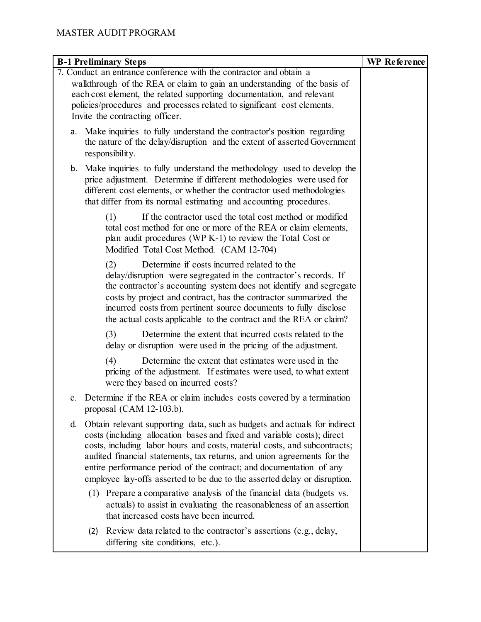|     | <b>B-1 Preliminary Steps</b>                                                                                                                                                                                                                                                                                                                                                                                                                                     | WP Reference |
|-----|------------------------------------------------------------------------------------------------------------------------------------------------------------------------------------------------------------------------------------------------------------------------------------------------------------------------------------------------------------------------------------------------------------------------------------------------------------------|--------------|
|     | 7. Conduct an entrance conference with the contractor and obtain a<br>walkthrough of the REA or claim to gain an understanding of the basis of<br>each cost element, the related supporting documentation, and relevant<br>policies/procedures and processes related to significant cost elements.<br>Invite the contracting officer.                                                                                                                            |              |
|     | a. Make inquiries to fully understand the contractor's position regarding<br>the nature of the delay/disruption and the extent of asserted Government<br>responsibility.                                                                                                                                                                                                                                                                                         |              |
|     | b. Make inquiries to fully understand the methodology used to develop the<br>price adjustment. Determine if different methodologies were used for<br>different cost elements, or whether the contractor used methodologies<br>that differ from its normal estimating and accounting procedures.                                                                                                                                                                  |              |
|     | If the contractor used the total cost method or modified<br>(1)<br>total cost method for one or more of the REA or claim elements,<br>plan audit procedures (WP K-1) to review the Total Cost or<br>Modified Total Cost Method. (CAM 12-704)                                                                                                                                                                                                                     |              |
|     | Determine if costs incurred related to the<br>(2)<br>delay/disruption were segregated in the contractor's records. If<br>the contractor's accounting system does not identify and segregate<br>costs by project and contract, has the contractor summarized the<br>incurred costs from pertinent source documents to fully disclose<br>the actual costs applicable to the contract and the REA or claim?                                                         |              |
|     | (3)<br>Determine the extent that incurred costs related to the<br>delay or disruption were used in the pricing of the adjustment.                                                                                                                                                                                                                                                                                                                                |              |
|     | (4)<br>Determine the extent that estimates were used in the<br>pricing of the adjustment. If estimates were used, to what extent<br>were they based on incurred costs?                                                                                                                                                                                                                                                                                           |              |
|     | c. Determine if the REA or claim includes costs covered by a termination<br>proposal (CAM $12-103.b$ ).                                                                                                                                                                                                                                                                                                                                                          |              |
| d.  | Obtain relevant supporting data, such as budgets and actuals for indirect<br>costs (including allocation bases and fixed and variable costs); direct<br>costs, including labor hours and costs, material costs, and subcontracts;<br>audited financial statements, tax returns, and union agreements for the<br>entire performance period of the contract; and documentation of any<br>employee lay-offs asserted to be due to the asserted delay or disruption. |              |
|     | (1) Prepare a comparative analysis of the financial data (budgets vs.<br>actuals) to assist in evaluating the reasonableness of an assertion<br>that increased costs have been incurred.                                                                                                                                                                                                                                                                         |              |
| (2) | Review data related to the contractor's assertions (e.g., delay,<br>differing site conditions, etc.).                                                                                                                                                                                                                                                                                                                                                            |              |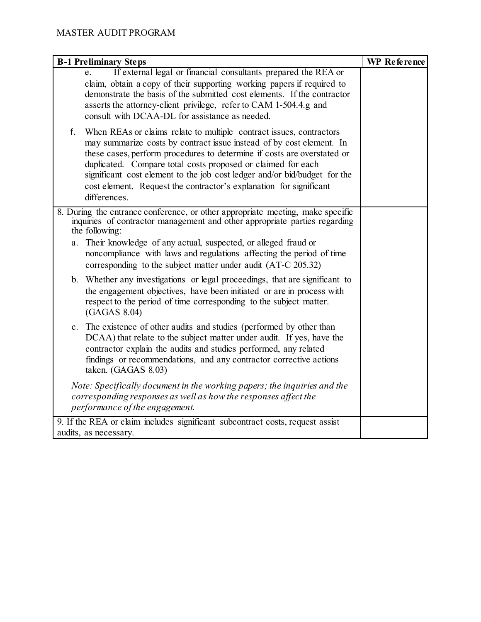| <b>B-1 Preliminary Steps</b>                                                                                                                                                                                                                                                                                                                                                                                                                                    | WP Reference |
|-----------------------------------------------------------------------------------------------------------------------------------------------------------------------------------------------------------------------------------------------------------------------------------------------------------------------------------------------------------------------------------------------------------------------------------------------------------------|--------------|
| If external legal or financial consultants prepared the REA or<br>claim, obtain a copy of their supporting working papers if required to<br>demonstrate the basis of the submitted cost elements. If the contractor<br>asserts the attorney-client privilege, refer to CAM 1-504.4.g and<br>consult with DCAA-DL for assistance as needed.                                                                                                                      |              |
| f.<br>When REAs or claims relate to multiple contract issues, contractors<br>may summarize costs by contract issue instead of by cost element. In<br>these cases, perform procedures to determine if costs are overstated or<br>duplicated. Compare total costs proposed or claimed for each<br>significant cost element to the job cost ledger and/or bid/budget for the<br>cost element. Request the contractor's explanation for significant<br>differences. |              |
| 8. During the entrance conference, or other appropriate meeting, make specific<br>inquiries of contractor management and other appropriate parties regarding<br>the following:                                                                                                                                                                                                                                                                                  |              |
| Their knowledge of any actual, suspected, or alleged fraud or<br>a.<br>noncompliance with laws and regulations affecting the period of time<br>corresponding to the subject matter under audit (AT-C 205.32)                                                                                                                                                                                                                                                    |              |
| b. Whether any investigations or legal proceedings, that are significant to<br>the engagement objectives, have been initiated or are in process with<br>respect to the period of time corresponding to the subject matter.<br>(GAGAS 8.04)                                                                                                                                                                                                                      |              |
| c. The existence of other audits and studies (performed by other than<br>DCAA) that relate to the subject matter under audit. If yes, have the<br>contractor explain the audits and studies performed, any related<br>findings or recommendations, and any contractor corrective actions<br>taken. (GAGAS 8.03)                                                                                                                                                 |              |
| Note: Specifically document in the working papers; the inquiries and the<br>corresponding responses as well as how the responses affect the<br>performance of the engagement.                                                                                                                                                                                                                                                                                   |              |
| 9. If the REA or claim includes significant subcontract costs, request assist<br>audits, as necessary.                                                                                                                                                                                                                                                                                                                                                          |              |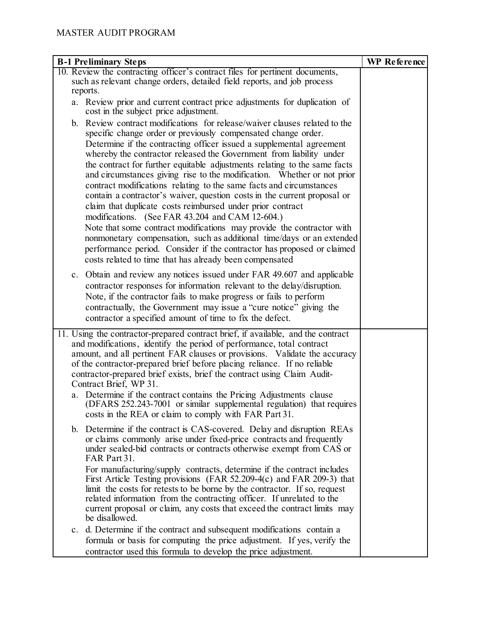| <b>B-1 Preliminary Steps</b>                                                                                                                         | WP Reference |
|------------------------------------------------------------------------------------------------------------------------------------------------------|--------------|
| 10. Review the contracting officer's contract files for pertinent documents,                                                                         |              |
| such as relevant change orders, detailed field reports, and job process                                                                              |              |
| reports.<br>a. Review prior and current contract price adjustments for duplication of                                                                |              |
| cost in the subject price adjustment.                                                                                                                |              |
| b. Review contract modifications for release/waiver clauses related to the                                                                           |              |
| specific change order or previously compensated change order.                                                                                        |              |
| Determine if the contracting officer issued a supplemental agreement<br>whereby the contractor released the Government from liability under          |              |
| the contract for further equitable adjustments relating to the same facts<br>and circumstances giving rise to the modification. Whether or not prior |              |
| contract modifications relating to the same facts and circumstances<br>contain a contractor's waiver, question costs in the current proposal or      |              |
| claim that duplicate costs reimbursed under prior contract<br>modifications. (See FAR 43.204 and CAM 12-604.)                                        |              |
| Note that some contract modifications may provide the contractor with                                                                                |              |
| nonmonetary compensation, such as additional time/days or an extended                                                                                |              |
| performance period. Consider if the contractor has proposed or claimed                                                                               |              |
| costs related to time that has already been compensated                                                                                              |              |
| Obtain and review any notices issued under FAR 49.607 and applicable<br>c.                                                                           |              |
| contractor responses for information relevant to the delay/disruption.                                                                               |              |
| Note, if the contractor fails to make progress or fails to perform                                                                                   |              |
| contractually, the Government may issue a "cure notice" giving the                                                                                   |              |
| contractor a specified amount of time to fix the defect.                                                                                             |              |
| 11. Using the contractor-prepared contract brief, if available, and the contract                                                                     |              |
| and modifications, identify the period of performance, total contract<br>amount, and all pertinent FAR clauses or provisions. Validate the accuracy  |              |
| of the contractor-prepared brief before placing reliance. If no reliable                                                                             |              |
| contractor-prepared brief exists, brief the contract using Claim Audit-                                                                              |              |
| Contract Brief, WP 31.                                                                                                                               |              |
| a. Determine if the contract contains the Pricing Adjustments clause                                                                                 |              |
| (DFARS 252.243-7001 or similar supplemental regulation) that requires<br>costs in the REA or claim to comply with FAR Part 31.                       |              |
| b. Determine if the contract is CAS-covered. Delay and disruption REAs                                                                               |              |
| or claims commonly arise under fixed-price contracts and frequently                                                                                  |              |
| under sealed-bid contracts or contracts otherwise exempt from CAS or<br>FAR Part 31.                                                                 |              |
| For manufacturing/supply contracts, determine if the contract includes                                                                               |              |
| First Article Testing provisions (FAR 52.209-4(c) and FAR 209-3) that                                                                                |              |
| limit the costs for retests to be borne by the contractor. If so, request<br>related information from the contracting officer. If unrelated to the   |              |
| current proposal or claim, any costs that exceed the contract limits may                                                                             |              |
| be disallowed.                                                                                                                                       |              |
| c. d. Determine if the contract and subsequent modifications contain a                                                                               |              |
| formula or basis for computing the price adjustment. If yes, verify the                                                                              |              |
| contractor used this formula to develop the price adjustment.                                                                                        |              |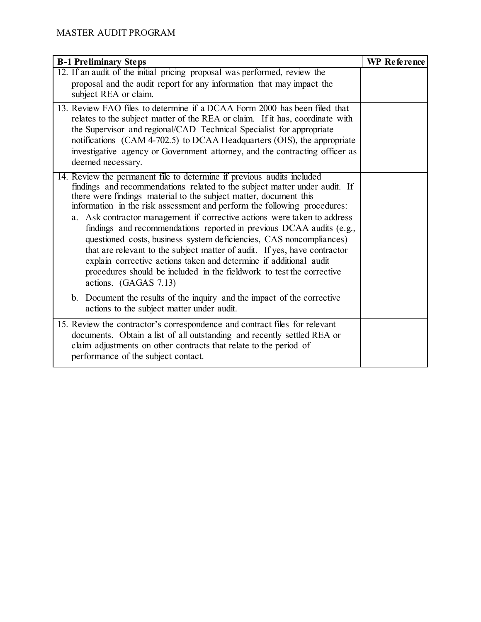| <b>B-1 Preliminary Steps</b>                                                                                                                                                                                                                                                                                                                                                                                                                                                                                                                                                                                                                                                                                                                                                          | <b>WP</b> Reference |
|---------------------------------------------------------------------------------------------------------------------------------------------------------------------------------------------------------------------------------------------------------------------------------------------------------------------------------------------------------------------------------------------------------------------------------------------------------------------------------------------------------------------------------------------------------------------------------------------------------------------------------------------------------------------------------------------------------------------------------------------------------------------------------------|---------------------|
| 12. If an audit of the initial pricing proposal was performed, review the<br>proposal and the audit report for any information that may impact the<br>subject REA or claim.                                                                                                                                                                                                                                                                                                                                                                                                                                                                                                                                                                                                           |                     |
| 13. Review FAO files to determine if a DCAA Form 2000 has been filed that<br>relates to the subject matter of the REA or claim. If it has, coordinate with<br>the Supervisor and regional/CAD Technical Specialist for appropriate<br>notifications (CAM 4-702.5) to DCAA Headquarters (OIS), the appropriate<br>investigative agency or Government attorney, and the contracting officer as<br>deemed necessary.                                                                                                                                                                                                                                                                                                                                                                     |                     |
| 14. Review the permanent file to determine if previous audits included<br>findings and recommendations related to the subject matter under audit. If<br>there were findings material to the subject matter, document this<br>information in the risk assessment and perform the following procedures:<br>a. Ask contractor management if corrective actions were taken to address<br>findings and recommendations reported in previous DCAA audits (e.g.,<br>questioned costs, business system deficiencies, CAS noncompliances)<br>that are relevant to the subject matter of audit. If yes, have contractor<br>explain corrective actions taken and determine if additional audit<br>procedures should be included in the fieldwork to test the corrective<br>actions. (GAGAS 7.13) |                     |
| b. Document the results of the inquiry and the impact of the corrective<br>actions to the subject matter under audit.                                                                                                                                                                                                                                                                                                                                                                                                                                                                                                                                                                                                                                                                 |                     |
| 15. Review the contractor's correspondence and contract files for relevant<br>documents. Obtain a list of all outstanding and recently settled REA or<br>claim adjustments on other contracts that relate to the period of<br>performance of the subject contact.                                                                                                                                                                                                                                                                                                                                                                                                                                                                                                                     |                     |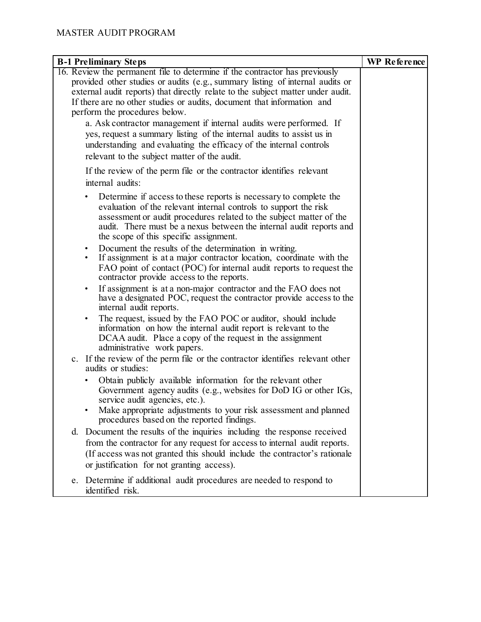| <b>B-1 Preliminary Steps</b>                                                                                                                                     | WP Reference |
|------------------------------------------------------------------------------------------------------------------------------------------------------------------|--------------|
| 16. Review the permanent file to determine if the contractor has previously                                                                                      |              |
| provided other studies or audits (e.g., summary listing of internal audits or<br>external audit reports) that directly relate to the subject matter under audit. |              |
| If there are no other studies or audits, document that information and                                                                                           |              |
| perform the procedures below.                                                                                                                                    |              |
| a. Ask contractor management if internal audits were performed. If                                                                                               |              |
| yes, request a summary listing of the internal audits to assist us in                                                                                            |              |
| understanding and evaluating the efficacy of the internal controls                                                                                               |              |
| relevant to the subject matter of the audit.                                                                                                                     |              |
| If the review of the perm file or the contractor identifies relevant                                                                                             |              |
| internal audits:                                                                                                                                                 |              |
| Determine if access to these reports is necessary to complete the                                                                                                |              |
| evaluation of the relevant internal controls to support the risk                                                                                                 |              |
| assessment or audit procedures related to the subject matter of the                                                                                              |              |
| audit. There must be a nexus between the internal audit reports and<br>the scope of this specific assignment.                                                    |              |
| Document the results of the determination in writing.                                                                                                            |              |
| If assignment is at a major contractor location, coordinate with the                                                                                             |              |
| FAO point of contact (POC) for internal audit reports to request the                                                                                             |              |
| contractor provide access to the reports.                                                                                                                        |              |
| If assignment is at a non-major contractor and the FAO does not<br>$\bullet$                                                                                     |              |
| have a designated POC, request the contractor provide access to the<br>internal audit reports.                                                                   |              |
| The request, issued by the FAO POC or auditor, should include<br>٠                                                                                               |              |
| information on how the internal audit report is relevant to the                                                                                                  |              |
| DCAA audit. Place a copy of the request in the assignment                                                                                                        |              |
| administrative work papers.                                                                                                                                      |              |
| c. If the review of the perm file or the contractor identifies relevant other<br>audits or studies:                                                              |              |
| Obtain publicly available information for the relevant other                                                                                                     |              |
| Government agency audits (e.g., websites for DoD IG or other IGs,                                                                                                |              |
| service audit agencies, etc.).                                                                                                                                   |              |
| Make appropriate adjustments to your risk assessment and planned<br>procedures based on the reported findings.                                                   |              |
| d. Document the results of the inquiries including the response received                                                                                         |              |
| from the contractor for any request for access to internal audit reports.                                                                                        |              |
| (If access was not granted this should include the contractor's rationale                                                                                        |              |
| or justification for not granting access).                                                                                                                       |              |
| Determine if additional audit procedures are needed to respond to<br>e.<br>identified risk.                                                                      |              |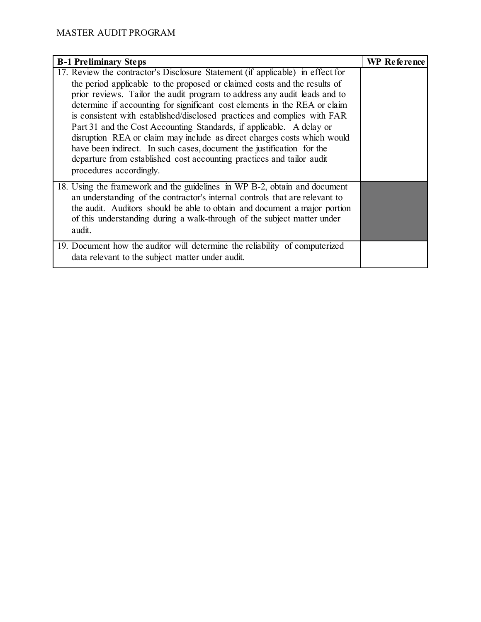| <b>B-1 Preliminary Steps</b>                                                                                                                                                                                                                                                                                                                                                                                                                                                                                                                                                                                                                                                                                                      | WP Reference |
|-----------------------------------------------------------------------------------------------------------------------------------------------------------------------------------------------------------------------------------------------------------------------------------------------------------------------------------------------------------------------------------------------------------------------------------------------------------------------------------------------------------------------------------------------------------------------------------------------------------------------------------------------------------------------------------------------------------------------------------|--------------|
| 17. Review the contractor's Disclosure Statement (if applicable) in effect for<br>the period applicable to the proposed or claimed costs and the results of<br>prior reviews. Tailor the audit program to address any audit leads and to<br>determine if accounting for significant cost elements in the REA or claim<br>is consistent with established/disclosed practices and complies with FAR<br>Part 31 and the Cost Accounting Standards, if applicable. A delay or<br>disruption REA or claim may include as direct charges costs which would<br>have been indirect. In such cases, document the justification for the<br>departure from established cost accounting practices and tailor audit<br>procedures accordingly. |              |
| 18. Using the framework and the guidelines in WP B-2, obtain and document<br>an understanding of the contractor's internal controls that are relevant to<br>the audit. Auditors should be able to obtain and document a major portion<br>of this understanding during a walk-through of the subject matter under<br>audit.                                                                                                                                                                                                                                                                                                                                                                                                        |              |
| 19. Document how the auditor will determine the reliability of computerized<br>data relevant to the subject matter under audit.                                                                                                                                                                                                                                                                                                                                                                                                                                                                                                                                                                                                   |              |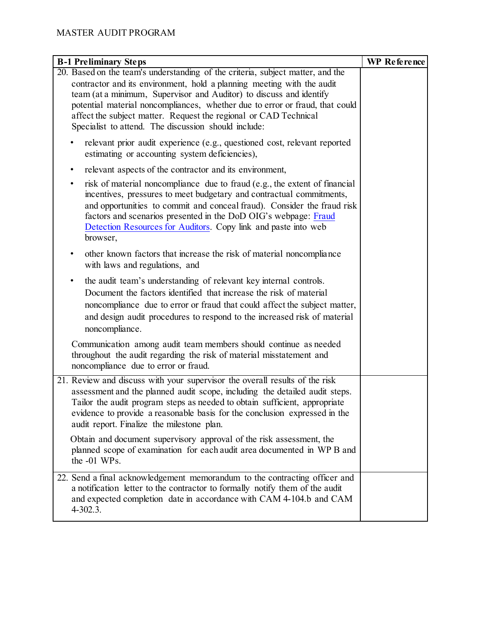| <b>B-1 Preliminary Steps</b>                                                                                                                                                                                                                                                                                                                                                                                                                | WP Reference |
|---------------------------------------------------------------------------------------------------------------------------------------------------------------------------------------------------------------------------------------------------------------------------------------------------------------------------------------------------------------------------------------------------------------------------------------------|--------------|
| 20. Based on the team's understanding of the criteria, subject matter, and the<br>contractor and its environment, hold a planning meeting with the audit<br>team (at a minimum, Supervisor and Auditor) to discuss and identify<br>potential material noncompliances, whether due to error or fraud, that could<br>affect the subject matter. Request the regional or CAD Technical<br>Specialist to attend. The discussion should include: |              |
| relevant prior audit experience (e.g., questioned cost, relevant reported<br>estimating or accounting system deficiencies),                                                                                                                                                                                                                                                                                                                 |              |
| relevant aspects of the contractor and its environment,<br>٠                                                                                                                                                                                                                                                                                                                                                                                |              |
| risk of material noncompliance due to fraud (e.g., the extent of financial<br>٠<br>incentives, pressures to meet budgetary and contractual commitments,<br>and opportunities to commit and conceal fraud). Consider the fraud risk<br>factors and scenarios presented in the DoD OIG's webpage: Fraud<br>Detection Resources for Auditors. Copy link and paste into web<br>browser,                                                         |              |
| other known factors that increase the risk of material noncompliance<br>with laws and regulations, and                                                                                                                                                                                                                                                                                                                                      |              |
| the audit team's understanding of relevant key internal controls.<br>٠<br>Document the factors identified that increase the risk of material<br>noncompliance due to error or fraud that could affect the subject matter,<br>and design audit procedures to respond to the increased risk of material<br>noncompliance.                                                                                                                     |              |
| Communication among audit team members should continue as needed<br>throughout the audit regarding the risk of material misstatement and<br>noncompliance due to error or fraud.                                                                                                                                                                                                                                                            |              |
| 21. Review and discuss with your supervisor the overall results of the risk<br>assessment and the planned audit scope, including the detailed audit steps.<br>Tailor the audit program steps as needed to obtain sufficient, appropriate<br>evidence to provide a reasonable basis for the conclusion expressed in the<br>audit report. Finalize the milestone plan.                                                                        |              |
| Obtain and document supervisory approval of the risk assessment, the<br>planned scope of examination for each audit area documented in WP B and<br>the -01 WPs.                                                                                                                                                                                                                                                                             |              |
| 22. Send a final acknowledgement memorandum to the contracting officer and<br>a notification letter to the contractor to formally notify them of the audit<br>and expected completion date in accordance with CAM 4-104.b and CAM<br>$4 - 302.3$ .                                                                                                                                                                                          |              |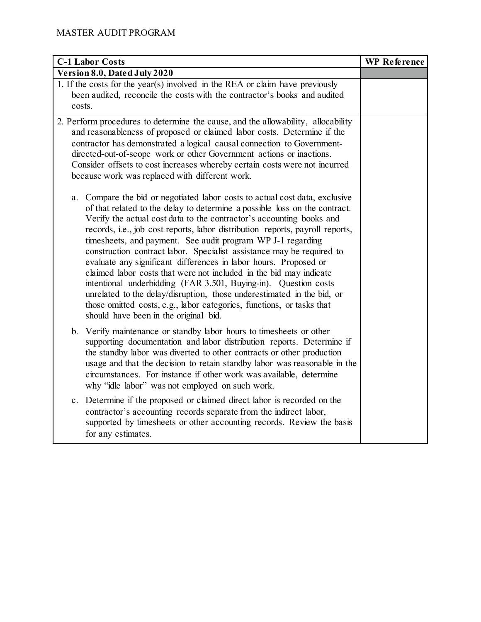| <b>C-1 Labor Costs</b>                                                                                                                                                                                                                                                                                                                                                                                                                                                                                                                                                                                                                                                                                                                                                                                                                                                 | <b>WP</b> Reference |
|------------------------------------------------------------------------------------------------------------------------------------------------------------------------------------------------------------------------------------------------------------------------------------------------------------------------------------------------------------------------------------------------------------------------------------------------------------------------------------------------------------------------------------------------------------------------------------------------------------------------------------------------------------------------------------------------------------------------------------------------------------------------------------------------------------------------------------------------------------------------|---------------------|
| Version 8.0, Dated July 2020                                                                                                                                                                                                                                                                                                                                                                                                                                                                                                                                                                                                                                                                                                                                                                                                                                           |                     |
| 1. If the costs for the year(s) involved in the REA or claim have previously<br>been audited, reconcile the costs with the contractor's books and audited<br>costs.                                                                                                                                                                                                                                                                                                                                                                                                                                                                                                                                                                                                                                                                                                    |                     |
| 2. Perform procedures to determine the cause, and the allowability, allocability<br>and reasonableness of proposed or claimed labor costs. Determine if the<br>contractor has demonstrated a logical causal connection to Government-<br>directed-out-of-scope work or other Government actions or inactions.<br>Consider offsets to cost increases whereby certain costs were not incurred<br>because work was replaced with different work.                                                                                                                                                                                                                                                                                                                                                                                                                          |                     |
| Compare the bid or negotiated labor costs to actual cost data, exclusive<br>a.<br>of that related to the delay to determine a possible loss on the contract.<br>Verify the actual cost data to the contractor's accounting books and<br>records, i.e., job cost reports, labor distribution reports, payroll reports,<br>timesheets, and payment. See audit program WP J-1 regarding<br>construction contract labor. Specialist assistance may be required to<br>evaluate any significant differences in labor hours. Proposed or<br>claimed labor costs that were not included in the bid may indicate<br>intentional underbidding (FAR 3.501, Buying-in). Question costs<br>unrelated to the delay/disruption, those underestimated in the bid, or<br>those omitted costs, e.g., labor categories, functions, or tasks that<br>should have been in the original bid. |                     |
| b. Verify maintenance or standby labor hours to timesheets or other<br>supporting documentation and labor distribution reports. Determine if<br>the standby labor was diverted to other contracts or other production<br>usage and that the decision to retain standby labor was reasonable in the<br>circumstances. For instance if other work was available, determine<br>why "idle labor" was not employed on such work.                                                                                                                                                                                                                                                                                                                                                                                                                                            |                     |
| c. Determine if the proposed or claimed direct labor is recorded on the<br>contractor's accounting records separate from the indirect labor,<br>supported by timesheets or other accounting records. Review the basis<br>for any estimates.                                                                                                                                                                                                                                                                                                                                                                                                                                                                                                                                                                                                                            |                     |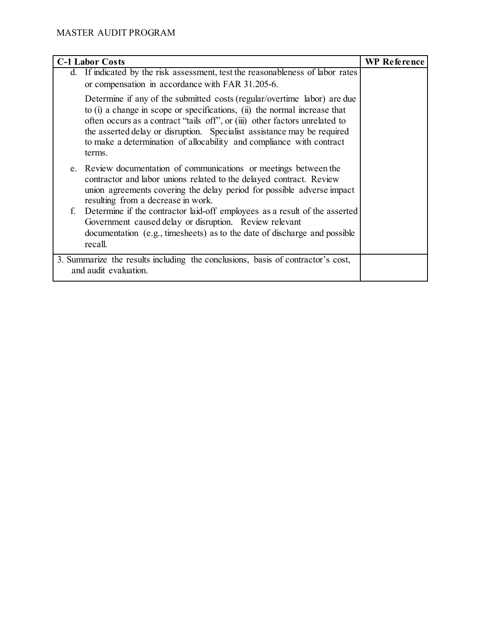|                                                                                                          | <b>C-1 Labor Costs</b>                                                                                                                                                                                                                                                                                                                                                                            | <b>WP Reference</b> |
|----------------------------------------------------------------------------------------------------------|---------------------------------------------------------------------------------------------------------------------------------------------------------------------------------------------------------------------------------------------------------------------------------------------------------------------------------------------------------------------------------------------------|---------------------|
|                                                                                                          | d. If indicated by the risk assessment, test the reasonableness of labor rates<br>or compensation in accordance with FAR 31.205-6.                                                                                                                                                                                                                                                                |                     |
|                                                                                                          | Determine if any of the submitted costs (regular/overtime labor) are due<br>to (i) a change in scope or specifications, (ii) the normal increase that<br>often occurs as a contract "tails off", or (iii) other factors unrelated to<br>the asserted delay or disruption. Specialist assistance may be required<br>to make a determination of allocability and compliance with contract<br>terms. |                     |
|                                                                                                          | e. Review documentation of communications or meetings between the<br>contractor and labor unions related to the delayed contract. Review<br>union agreements covering the delay period for possible adverse impact<br>resulting from a decrease in work.                                                                                                                                          |                     |
|                                                                                                          | f. Determine if the contractor laid-off employees as a result of the asserted<br>Government caused delay or disruption. Review relevant<br>documentation (e.g., timesheets) as to the date of discharge and possible<br>recall.                                                                                                                                                                   |                     |
| 3. Summarize the results including the conclusions, basis of contractor's cost,<br>and audit evaluation. |                                                                                                                                                                                                                                                                                                                                                                                                   |                     |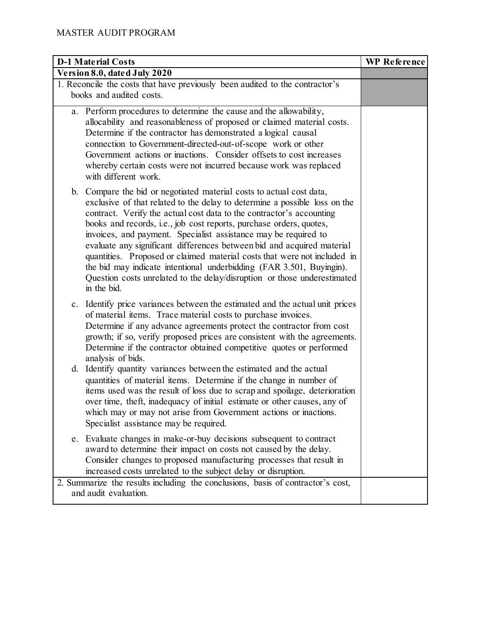| <b>D-1 Material Costs</b>                                                                                                                                                                                                                                                                                                                                                                                                                                                                                                                                                                                                                                                                     | <b>WP</b> Reference |
|-----------------------------------------------------------------------------------------------------------------------------------------------------------------------------------------------------------------------------------------------------------------------------------------------------------------------------------------------------------------------------------------------------------------------------------------------------------------------------------------------------------------------------------------------------------------------------------------------------------------------------------------------------------------------------------------------|---------------------|
| Version 8.0, dated July 2020                                                                                                                                                                                                                                                                                                                                                                                                                                                                                                                                                                                                                                                                  |                     |
| 1. Reconcile the costs that have previously been audited to the contractor's<br>books and audited costs.                                                                                                                                                                                                                                                                                                                                                                                                                                                                                                                                                                                      |                     |
| a. Perform procedures to determine the cause and the allowability,<br>allocability and reasonableness of proposed or claimed material costs.<br>Determine if the contractor has demonstrated a logical causal<br>connection to Government-directed-out-of-scope work or other<br>Government actions or inactions. Consider offsets to cost increases<br>whereby certain costs were not incurred because work was replaced<br>with different work.                                                                                                                                                                                                                                             |                     |
| b. Compare the bid or negotiated material costs to actual cost data,<br>exclusive of that related to the delay to determine a possible loss on the<br>contract. Verify the actual cost data to the contractor's accounting<br>books and records, i.e., job cost reports, purchase orders, quotes,<br>invoices, and payment. Specialist assistance may be required to<br>evaluate any significant differences between bid and acquired material<br>quantities. Proposed or claimed material costs that were not included in<br>the bid may indicate intentional underbidding (FAR 3.501, Buyingin).<br>Question costs unrelated to the delay/disruption or those underestimated<br>in the bid. |                     |
| c. Identify price variances between the estimated and the actual unit prices<br>of material items. Trace material costs to purchase invoices.<br>Determine if any advance agreements protect the contractor from cost<br>growth; if so, verify proposed prices are consistent with the agreements.<br>Determine if the contractor obtained competitive quotes or performed<br>analysis of bids.                                                                                                                                                                                                                                                                                               |                     |
| d. Identify quantity variances between the estimated and the actual<br>quantities of material items. Determine if the change in number of<br>items used was the result of loss due to scrap and spoilage, deterioration<br>over time, theft, inadequacy of initial estimate or other causes, any of<br>which may or may not arise from Government actions or inactions.<br>Specialist assistance may be required.                                                                                                                                                                                                                                                                             |                     |
| e. Evaluate changes in make-or-buy decisions subsequent to contract<br>award to determine their impact on costs not caused by the delay.<br>Consider changes to proposed manufacturing processes that result in<br>increased costs unrelated to the subject delay or disruption.                                                                                                                                                                                                                                                                                                                                                                                                              |                     |
| 2. Summarize the results including the conclusions, basis of contractor's cost,<br>and audit evaluation.                                                                                                                                                                                                                                                                                                                                                                                                                                                                                                                                                                                      |                     |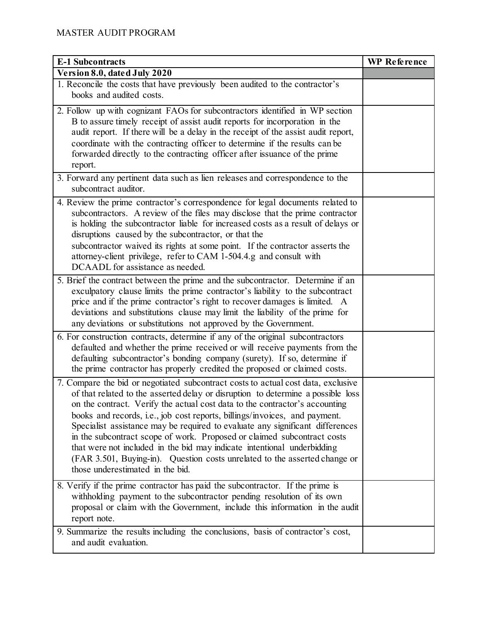| <b>E-1 Subcontracts</b>                                                                                                                                                                                                                                                                                                                                                                                                                                                                                                                                                                                                                                                                     | <b>WP</b> Reference |
|---------------------------------------------------------------------------------------------------------------------------------------------------------------------------------------------------------------------------------------------------------------------------------------------------------------------------------------------------------------------------------------------------------------------------------------------------------------------------------------------------------------------------------------------------------------------------------------------------------------------------------------------------------------------------------------------|---------------------|
| Version 8.0, dated July 2020                                                                                                                                                                                                                                                                                                                                                                                                                                                                                                                                                                                                                                                                |                     |
| 1. Reconcile the costs that have previously been audited to the contractor's<br>books and audited costs.                                                                                                                                                                                                                                                                                                                                                                                                                                                                                                                                                                                    |                     |
| 2. Follow up with cognizant FAOs for subcontractors identified in WP section<br>B to assure timely receipt of assist audit reports for incorporation in the<br>audit report. If there will be a delay in the receipt of the assist audit report,<br>coordinate with the contracting officer to determine if the results can be<br>forwarded directly to the contracting officer after issuance of the prime<br>report.                                                                                                                                                                                                                                                                      |                     |
| 3. Forward any pertinent data such as lien releases and correspondence to the<br>subcontract auditor.                                                                                                                                                                                                                                                                                                                                                                                                                                                                                                                                                                                       |                     |
| 4. Review the prime contractor's correspondence for legal documents related to<br>subcontractors. A review of the files may disclose that the prime contractor<br>is holding the subcontractor liable for increased costs as a result of delays or<br>disruptions caused by the subcontractor, or that the<br>subcontractor waived its rights at some point. If the contractor asserts the<br>attorney-client privilege, refer to CAM 1-504.4.g and consult with<br>DCAADL for assistance as needed.                                                                                                                                                                                        |                     |
| 5. Brief the contract between the prime and the subcontractor. Determine if an<br>exculpatory clause limits the prime contractor's liability to the subcontract<br>price and if the prime contractor's right to recover damages is limited. A<br>deviations and substitutions clause may limit the liability of the prime for<br>any deviations or substitutions not approved by the Government.                                                                                                                                                                                                                                                                                            |                     |
| 6. For construction contracts, determine if any of the original subcontractors<br>defaulted and whether the prime received or will receive payments from the<br>defaulting subcontractor's bonding company (surety). If so, determine if<br>the prime contractor has properly credited the proposed or claimed costs.                                                                                                                                                                                                                                                                                                                                                                       |                     |
| 7. Compare the bid or negotiated subcontract costs to actual cost data, exclusive<br>of that related to the asserted delay or disruption to determine a possible loss<br>on the contract. Verify the actual cost data to the contractor's accounting<br>books and records, i.e., job cost reports, billings/invoices, and payment.<br>Specialist assistance may be required to evaluate any significant differences<br>in the subcontract scope of work. Proposed or claimed subcontract costs<br>that were not included in the bid may indicate intentional underbidding<br>(FAR 3.501, Buying-in). Question costs unrelated to the asserted change or<br>those underestimated in the bid. |                     |
| 8. Verify if the prime contractor has paid the subcontractor. If the prime is<br>withholding payment to the subcontractor pending resolution of its own<br>proposal or claim with the Government, include this information in the audit<br>report note.                                                                                                                                                                                                                                                                                                                                                                                                                                     |                     |
| 9. Summarize the results including the conclusions, basis of contractor's cost,<br>and audit evaluation.                                                                                                                                                                                                                                                                                                                                                                                                                                                                                                                                                                                    |                     |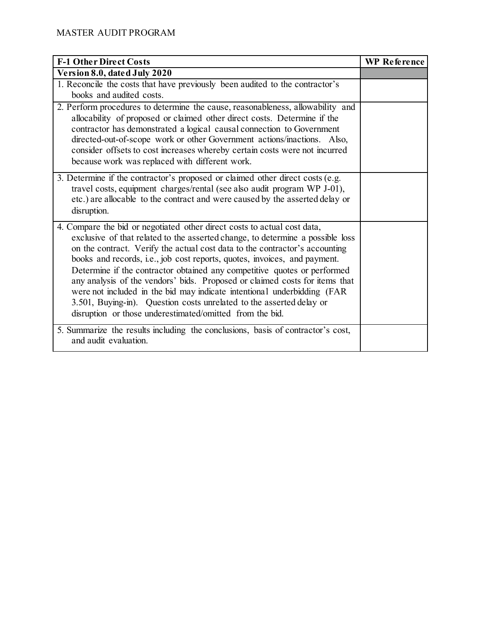| <b>F-1 Other Direct Costs</b>                                                                                                                                                                                                                                                                                                                                                                                                                                                                                                                                                                                                                                                                    | <b>WP</b> Reference |
|--------------------------------------------------------------------------------------------------------------------------------------------------------------------------------------------------------------------------------------------------------------------------------------------------------------------------------------------------------------------------------------------------------------------------------------------------------------------------------------------------------------------------------------------------------------------------------------------------------------------------------------------------------------------------------------------------|---------------------|
| Version 8.0, dated July 2020                                                                                                                                                                                                                                                                                                                                                                                                                                                                                                                                                                                                                                                                     |                     |
| 1. Reconcile the costs that have previously been audited to the contractor's<br>books and audited costs.                                                                                                                                                                                                                                                                                                                                                                                                                                                                                                                                                                                         |                     |
| 2. Perform procedures to determine the cause, reasonableness, allowability and<br>allocability of proposed or claimed other direct costs. Determine if the<br>contractor has demonstrated a logical causal connection to Government<br>directed-out-of-scope work or other Government actions/inactions. Also,<br>consider offsets to cost increases whereby certain costs were not incurred<br>because work was replaced with different work.                                                                                                                                                                                                                                                   |                     |
| 3. Determine if the contractor's proposed or claimed other direct costs (e.g.<br>travel costs, equipment charges/rental (see also audit program WP J-01),<br>etc.) are allocable to the contract and were caused by the asserted delay or<br>disruption.                                                                                                                                                                                                                                                                                                                                                                                                                                         |                     |
| 4. Compare the bid or negotiated other direct costs to actual cost data,<br>exclusive of that related to the asserted change, to determine a possible loss<br>on the contract. Verify the actual cost data to the contractor's accounting<br>books and records, i.e., job cost reports, quotes, invoices, and payment.<br>Determine if the contractor obtained any competitive quotes or performed<br>any analysis of the vendors' bids. Proposed or claimed costs for items that<br>were not included in the bid may indicate intentional underbidding (FAR<br>3.501, Buying-in). Question costs unrelated to the asserted delay or<br>disruption or those underestimated/omitted from the bid. |                     |
| 5. Summarize the results including the conclusions, basis of contractor's cost,<br>and audit evaluation.                                                                                                                                                                                                                                                                                                                                                                                                                                                                                                                                                                                         |                     |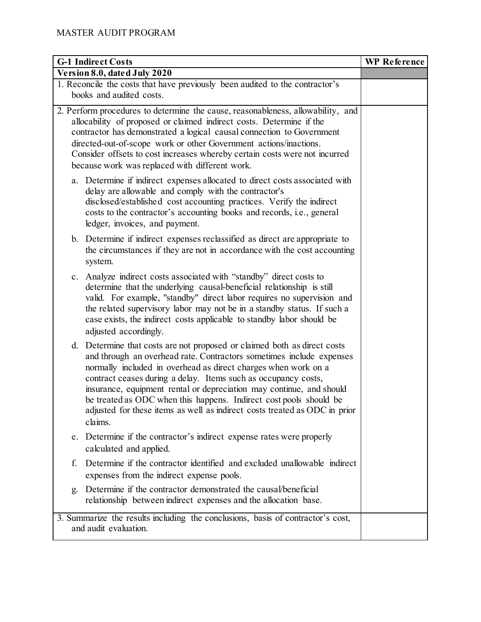| <b>G-1 Indirect Costs</b>                                                                                                                                                                                                                                                                                                                                                                                                                                                                                                   | <b>WP</b> Reference |
|-----------------------------------------------------------------------------------------------------------------------------------------------------------------------------------------------------------------------------------------------------------------------------------------------------------------------------------------------------------------------------------------------------------------------------------------------------------------------------------------------------------------------------|---------------------|
| Version 8.0, dated July 2020                                                                                                                                                                                                                                                                                                                                                                                                                                                                                                |                     |
| 1. Reconcile the costs that have previously been audited to the contractor's<br>books and audited costs.                                                                                                                                                                                                                                                                                                                                                                                                                    |                     |
| 2. Perform procedures to determine the cause, reasonableness, allowability, and<br>allocability of proposed or claimed indirect costs. Determine if the<br>contractor has demonstrated a logical causal connection to Government<br>directed-out-of-scope work or other Government actions/inactions.<br>Consider offsets to cost increases whereby certain costs were not incurred<br>because work was replaced with different work.                                                                                       |                     |
| a. Determine if indirect expenses allocated to direct costs associated with<br>delay are allowable and comply with the contractor's<br>disclosed/established cost accounting practices. Verify the indirect<br>costs to the contractor's accounting books and records, i.e., general<br>ledger, invoices, and payment.                                                                                                                                                                                                      |                     |
| b. Determine if indirect expenses reclassified as direct are appropriate to<br>the circumstances if they are not in accordance with the cost accounting<br>system.                                                                                                                                                                                                                                                                                                                                                          |                     |
| Analyze indirect costs associated with "standby" direct costs to<br>$c_{\cdot}$<br>determine that the underlying causal-beneficial relationship is still<br>valid. For example, "standby" direct labor requires no supervision and<br>the related supervisory labor may not be in a standby status. If such a<br>case exists, the indirect costs applicable to standby labor should be<br>adjusted accordingly.                                                                                                             |                     |
| d. Determine that costs are not proposed or claimed both as direct costs<br>and through an overhead rate. Contractors sometimes include expenses<br>normally included in overhead as direct charges when work on a<br>contract ceases during a delay. Items such as occupancy costs,<br>insurance, equipment rental or depreciation may continue, and should<br>be treated as ODC when this happens. Indirect cost pools should be<br>adjusted for these items as well as indirect costs treated as ODC in prior<br>claims. |                     |
| e. Determine if the contractor's indirect expense rates were properly<br>calculated and applied.                                                                                                                                                                                                                                                                                                                                                                                                                            |                     |
| Determine if the contractor identified and excluded unallowable indirect<br>f.<br>expenses from the indirect expense pools.                                                                                                                                                                                                                                                                                                                                                                                                 |                     |
| Determine if the contractor demonstrated the causal/beneficial<br>g.<br>relationship between indirect expenses and the allocation base.                                                                                                                                                                                                                                                                                                                                                                                     |                     |
| 3. Summarize the results including the conclusions, basis of contractor's cost,<br>and audit evaluation.                                                                                                                                                                                                                                                                                                                                                                                                                    |                     |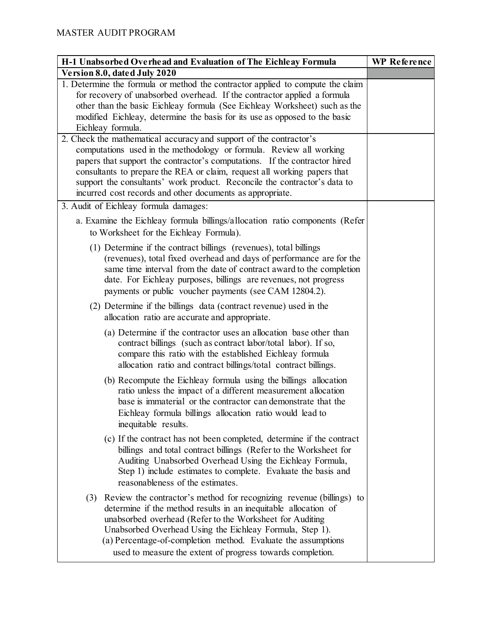| H-1 Unabsorbed Overhead and Evaluation of The Eichleay Formula                                                                                                                                                                                                                                                                                                                                     | <b>WP</b> Reference |
|----------------------------------------------------------------------------------------------------------------------------------------------------------------------------------------------------------------------------------------------------------------------------------------------------------------------------------------------------------------------------------------------------|---------------------|
| Version 8.0, dated July 2020                                                                                                                                                                                                                                                                                                                                                                       |                     |
| 1. Determine the formula or method the contractor applied to compute the claim<br>for recovery of unabsorbed overhead. If the contractor applied a formula<br>other than the basic Eichleay formula (See Eichleay Worksheet) such as the<br>modified Eichleay, determine the basis for its use as opposed to the basic                                                                             |                     |
| Eichleay formula.<br>2. Check the mathematical accuracy and support of the contractor's                                                                                                                                                                                                                                                                                                            |                     |
| computations used in the methodology or formula. Review all working<br>papers that support the contractor's computations. If the contractor hired<br>consultants to prepare the REA or claim, request all working papers that<br>support the consultants' work product. Reconcile the contractor's data to<br>incurred cost records and other documents as appropriate.                            |                     |
| 3. Audit of Eichleay formula damages:                                                                                                                                                                                                                                                                                                                                                              |                     |
| a. Examine the Eichleay formula billings/allocation ratio components (Refer<br>to Worksheet for the Eichleay Formula).                                                                                                                                                                                                                                                                             |                     |
| (1) Determine if the contract billings (revenues), total billings<br>(revenues), total fixed overhead and days of performance are for the<br>same time interval from the date of contract award to the completion<br>date. For Eichleay purposes, billings are revenues, not progress<br>payments or public voucher payments (see CAM 12804.2).                                                    |                     |
| (2) Determine if the billings data (contract revenue) used in the<br>allocation ratio are accurate and appropriate.                                                                                                                                                                                                                                                                                |                     |
| (a) Determine if the contractor uses an allocation base other than<br>contract billings (such as contract labor/total labor). If so,<br>compare this ratio with the established Eichleay formula<br>allocation ratio and contract billings/total contract billings.                                                                                                                                |                     |
| (b) Recompute the Eichleay formula using the billings allocation<br>ratio unless the impact of a different measurement allocation<br>base is immaterial or the contractor can demonstrate that the<br>Eichleay formula billings allocation ratio would lead to<br>inequitable results.                                                                                                             |                     |
| (c) If the contract has not been completed, determine if the contract<br>billings and total contract billings (Refer to the Worksheet for<br>Auditing Unabsorbed Overhead Using the Eichleay Formula,<br>Step 1) include estimates to complete. Evaluate the basis and<br>reasonableness of the estimates.                                                                                         |                     |
| (3) Review the contractor's method for recognizing revenue (billings) to<br>determine if the method results in an inequitable allocation of<br>unabsorbed overhead (Refer to the Worksheet for Auditing<br>Unabsorbed Overhead Using the Eichleay Formula, Step 1).<br>(a) Percentage-of-completion method. Evaluate the assumptions<br>used to measure the extent of progress towards completion. |                     |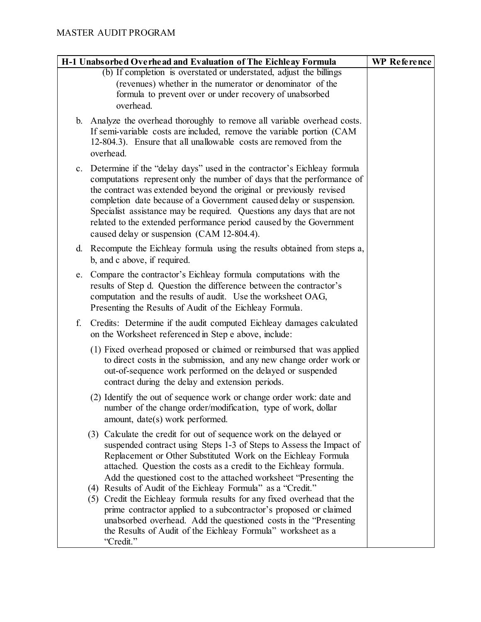| H-1 Unabsorbed Overhead and Evaluation of The Eichleay Formula                                                                                                                                                                                                                                                                                                                                                                                                                                    | <b>WP Reference</b> |
|---------------------------------------------------------------------------------------------------------------------------------------------------------------------------------------------------------------------------------------------------------------------------------------------------------------------------------------------------------------------------------------------------------------------------------------------------------------------------------------------------|---------------------|
| (b) If completion is overstated or understated, adjust the billings<br>(revenues) whether in the numerator or denominator of the<br>formula to prevent over or under recovery of unabsorbed<br>overhead.                                                                                                                                                                                                                                                                                          |                     |
| b. Analyze the overhead thoroughly to remove all variable overhead costs.<br>If semi-variable costs are included, remove the variable portion (CAM<br>12-804.3). Ensure that all unallowable costs are removed from the<br>overhead.                                                                                                                                                                                                                                                              |                     |
| c. Determine if the "delay days" used in the contractor's Eichleay formula<br>computations represent only the number of days that the performance of<br>the contract was extended beyond the original or previously revised<br>completion date because of a Government caused delay or suspension.<br>Specialist assistance may be required. Questions any days that are not<br>related to the extended performance period caused by the Government<br>caused delay or suspension (CAM 12-804.4). |                     |
| d. Recompute the Eichleay formula using the results obtained from steps a,                                                                                                                                                                                                                                                                                                                                                                                                                        |                     |
| b, and c above, if required.<br>Compare the contractor's Eichleay formula computations with the<br>e.<br>results of Step d. Question the difference between the contractor's<br>computation and the results of audit. Use the worksheet OAG,<br>Presenting the Results of Audit of the Eichleay Formula.                                                                                                                                                                                          |                     |
| f.<br>Credits: Determine if the audit computed Eichleay damages calculated<br>on the Worksheet referenced in Step e above, include:                                                                                                                                                                                                                                                                                                                                                               |                     |
| (1) Fixed overhead proposed or claimed or reimbursed that was applied<br>to direct costs in the submission, and any new change order work or<br>out-of-sequence work performed on the delayed or suspended<br>contract during the delay and extension periods.                                                                                                                                                                                                                                    |                     |
| (2) Identify the out of sequence work or change order work: date and<br>number of the change order/modification, type of work, dollar<br>amount, date(s) work performed.                                                                                                                                                                                                                                                                                                                          |                     |
| (3) Calculate the credit for out of sequence work on the delayed or<br>suspended contract using Steps 1-3 of Steps to Assess the Impact of<br>Replacement or Other Substituted Work on the Eichleay Formula<br>attached. Question the costs as a credit to the Eichleay formula.<br>Add the questioned cost to the attached worksheet "Presenting the                                                                                                                                             |                     |
| (4) Results of Audit of the Eichleay Formula" as a "Credit."<br>(5) Credit the Eichleay formula results for any fixed overhead that the<br>prime contractor applied to a subcontractor's proposed or claimed<br>unabsorbed overhead. Add the questioned costs in the "Presenting<br>the Results of Audit of the Eichleay Formula" worksheet as a<br>"Credit."                                                                                                                                     |                     |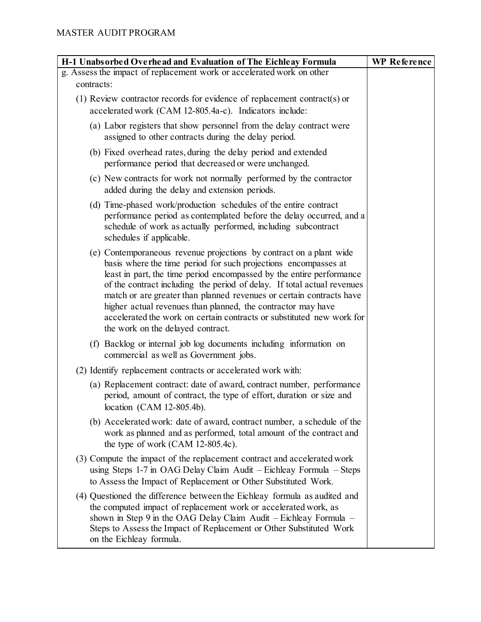| H-1 Unabsorbed Overhead and Evaluation of The Eichleay Formula                                                                                                                                                                                                                                                                                                                                                                                                                                                                                  | <b>WP Reference</b> |
|-------------------------------------------------------------------------------------------------------------------------------------------------------------------------------------------------------------------------------------------------------------------------------------------------------------------------------------------------------------------------------------------------------------------------------------------------------------------------------------------------------------------------------------------------|---------------------|
| g. Assess the impact of replacement work or accelerated work on other                                                                                                                                                                                                                                                                                                                                                                                                                                                                           |                     |
| contracts:                                                                                                                                                                                                                                                                                                                                                                                                                                                                                                                                      |                     |
| (1) Review contractor records for evidence of replacement contract(s) or<br>accelerated work (CAM 12-805.4a-c). Indicators include:                                                                                                                                                                                                                                                                                                                                                                                                             |                     |
| (a) Labor registers that show personnel from the delay contract were<br>assigned to other contracts during the delay period.                                                                                                                                                                                                                                                                                                                                                                                                                    |                     |
| (b) Fixed overhead rates, during the delay period and extended<br>performance period that decreased or were unchanged.                                                                                                                                                                                                                                                                                                                                                                                                                          |                     |
| (c) New contracts for work not normally performed by the contractor<br>added during the delay and extension periods.                                                                                                                                                                                                                                                                                                                                                                                                                            |                     |
| (d) Time-phased work/production schedules of the entire contract<br>performance period as contemplated before the delay occurred, and a<br>schedule of work as actually performed, including subcontract<br>schedules if applicable.                                                                                                                                                                                                                                                                                                            |                     |
| (e) Contemporaneous revenue projections by contract on a plant wide<br>basis where the time period for such projections encompasses at<br>least in part, the time period encompassed by the entire performance<br>of the contract including the period of delay. If total actual revenues<br>match or are greater than planned revenues or certain contracts have<br>higher actual revenues than planned, the contractor may have<br>accelerated the work on certain contracts or substituted new work for<br>the work on the delayed contract. |                     |
| (f) Backlog or internal job log documents including information on<br>commercial as well as Government jobs.                                                                                                                                                                                                                                                                                                                                                                                                                                    |                     |
| (2) Identify replacement contracts or accelerated work with:                                                                                                                                                                                                                                                                                                                                                                                                                                                                                    |                     |
| (a) Replacement contract: date of award, contract number, performance<br>period, amount of contract, the type of effort, duration or size and<br>location (CAM 12-805.4b).                                                                                                                                                                                                                                                                                                                                                                      |                     |
| (b) Accelerated work: date of award, contract number, a schedule of the<br>work as planned and as performed, total amount of the contract and<br>the type of work (CAM 12-805.4c).                                                                                                                                                                                                                                                                                                                                                              |                     |
| (3) Compute the impact of the replacement contract and accelerated work<br>using Steps 1-7 in OAG Delay Claim Audit – Eichleay Formula – Steps<br>to Assess the Impact of Replacement or Other Substituted Work.                                                                                                                                                                                                                                                                                                                                |                     |
| (4) Questioned the difference between the Eichleay formula as audited and<br>the computed impact of replacement work or accelerated work, as<br>shown in Step 9 in the OAG Delay Claim Audit – Eichleay Formula –<br>Steps to Assess the Impact of Replacement or Other Substituted Work<br>on the Eichleay formula.                                                                                                                                                                                                                            |                     |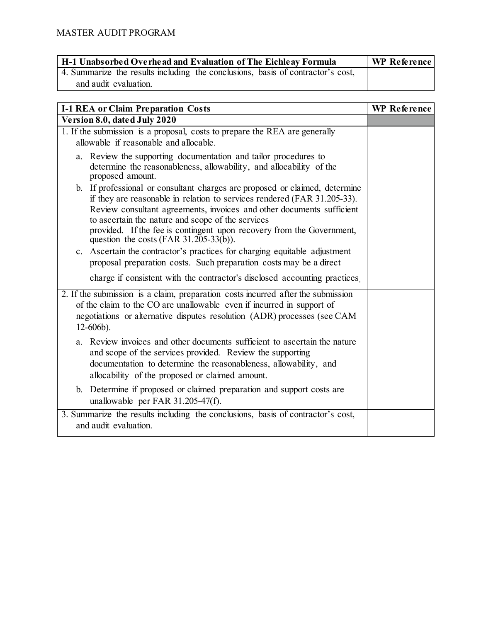| H-1 Unabsorbed Overhead and Evaluation of The Eichleay Formula                  | WP Reference |
|---------------------------------------------------------------------------------|--------------|
| 4. Summarize the results including the conclusions, basis of contractor's cost, |              |
| and audit evaluation.                                                           |              |

| <b>I-1 REA or Claim Preparation Costs</b>                                                                                                                                                                                                                                                                                                                                                                   | <b>WP</b> Reference |
|-------------------------------------------------------------------------------------------------------------------------------------------------------------------------------------------------------------------------------------------------------------------------------------------------------------------------------------------------------------------------------------------------------------|---------------------|
| Version 8.0, dated July 2020                                                                                                                                                                                                                                                                                                                                                                                |                     |
| 1. If the submission is a proposal, costs to prepare the REA are generally<br>allowable if reasonable and allocable.                                                                                                                                                                                                                                                                                        |                     |
| a. Review the supporting documentation and tailor procedures to<br>determine the reasonableness, allowability, and allocability of the<br>proposed amount.                                                                                                                                                                                                                                                  |                     |
| b. If professional or consultant charges are proposed or claimed, determine<br>if they are reasonable in relation to services rendered (FAR 31.205-33).<br>Review consultant agreements, invoices and other documents sufficient<br>to ascertain the nature and scope of the services<br>provided. If the fee is contingent upon recovery from the Government,<br>question the costs (FAR $31.205-33(b)$ ). |                     |
| c. Ascertain the contractor's practices for charging equitable adjustment<br>proposal preparation costs. Such preparation costs may be a direct<br>charge if consistent with the contractor's disclosed accounting practices                                                                                                                                                                                |                     |
| 2. If the submission is a claim, preparation costs incurred after the submission<br>of the claim to the CO are unallowable even if incurred in support of<br>negotiations or alternative disputes resolution (ADR) processes (see CAM<br>$12-606b$ ).                                                                                                                                                       |                     |
| a. Review invoices and other documents sufficient to ascertain the nature<br>and scope of the services provided. Review the supporting<br>documentation to determine the reasonableness, allowability, and<br>allocability of the proposed or claimed amount.                                                                                                                                               |                     |
| b. Determine if proposed or claimed preparation and support costs are<br>unallowable per FAR 31.205-47(f).                                                                                                                                                                                                                                                                                                  |                     |
| 3. Summarize the results including the conclusions, basis of contractor's cost,<br>and audit evaluation.                                                                                                                                                                                                                                                                                                    |                     |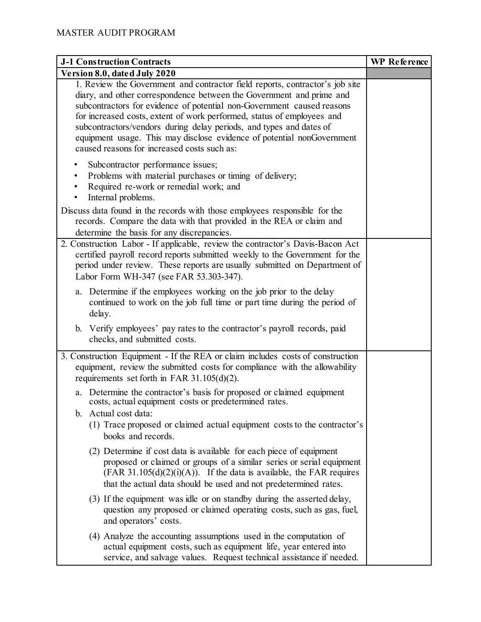| <b>J-1 Construction Contracts</b>                                                                                                                                                                                                                                                                                                                                                                                                                                                                        | <b>WP</b> Reference |
|----------------------------------------------------------------------------------------------------------------------------------------------------------------------------------------------------------------------------------------------------------------------------------------------------------------------------------------------------------------------------------------------------------------------------------------------------------------------------------------------------------|---------------------|
| Version 8.0, dated July 2020                                                                                                                                                                                                                                                                                                                                                                                                                                                                             |                     |
| 1. Review the Government and contractor field reports, contractor's job site<br>diary, and other correspondence between the Government and prime and<br>subcontractors for evidence of potential non-Government caused reasons<br>for increased costs, extent of work performed, status of employees and<br>subcontractors/vendors during delay periods, and types and dates of<br>equipment usage. This may disclose evidence of potential nonGovernment<br>caused reasons for increased costs such as: |                     |
| Subcontractor performance issues;<br>Problems with material purchases or timing of delivery;<br>٠<br>Required re-work or remedial work; and<br>$\bullet$<br>Internal problems.<br>٠<br>Discuss data found in the records with those employees responsible for the<br>records. Compare the data with that provided in the REA or claim and<br>determine the basis for any discrepancies.                                                                                                                  |                     |
| 2. Construction Labor - If applicable, review the contractor's Davis-Bacon Act<br>certified payroll record reports submitted weekly to the Government for the<br>period under review. These reports are usually submitted on Department of<br>Labor Form WH-347 (see FAR 53.303-347).                                                                                                                                                                                                                    |                     |
| a. Determine if the employees working on the job prior to the delay<br>continued to work on the job full time or part time during the period of<br>delay.                                                                                                                                                                                                                                                                                                                                                |                     |
| b. Verify employees' pay rates to the contractor's payroll records, paid<br>checks, and submitted costs.                                                                                                                                                                                                                                                                                                                                                                                                 |                     |
| 3. Construction Equipment - If the REA or claim includes costs of construction<br>equipment, review the submitted costs for compliance with the allowability<br>requirements set forth in FAR $31.105(d)(2)$ .                                                                                                                                                                                                                                                                                           |                     |
| Determine the contractor's basis for proposed or claimed equipment<br>a.<br>costs, actual equipment costs or predetermined rates.<br>b. Actual cost data:                                                                                                                                                                                                                                                                                                                                                |                     |
| (1) Trace proposed or claimed actual equipment costs to the contractor's<br>books and records.                                                                                                                                                                                                                                                                                                                                                                                                           |                     |
| (2) Determine if cost data is available for each piece of equipment<br>proposed or claimed or groups of a similar series or serial equipment<br>$(FAR 31.105(d)(2)(i)(A))$ . If the data is available, the FAR requires<br>that the actual data should be used and not predetermined rates.                                                                                                                                                                                                              |                     |
| (3) If the equipment was idle or on standby during the asserted delay,<br>question any proposed or claimed operating costs, such as gas, fuel,<br>and operators' costs.                                                                                                                                                                                                                                                                                                                                  |                     |
| (4) Analyze the accounting assumptions used in the computation of<br>actual equipment costs, such as equipment life, year entered into<br>service, and salvage values. Request technical assistance if needed.                                                                                                                                                                                                                                                                                           |                     |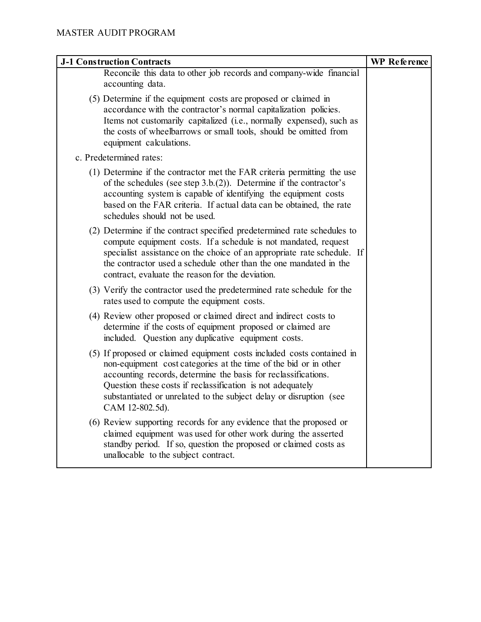| <b>J-1 Construction Contracts</b>                                                                                                                                                                                                                                                                                                                                   | <b>WP</b> Reference |
|---------------------------------------------------------------------------------------------------------------------------------------------------------------------------------------------------------------------------------------------------------------------------------------------------------------------------------------------------------------------|---------------------|
| Reconcile this data to other job records and company-wide financial<br>accounting data.                                                                                                                                                                                                                                                                             |                     |
| (5) Determine if the equipment costs are proposed or claimed in<br>accordance with the contractor's normal capitalization policies.<br>Items not customarily capitalized (i.e., normally expensed), such as<br>the costs of wheelbarrows or small tools, should be omitted from<br>equipment calculations.                                                          |                     |
| c. Predetermined rates:                                                                                                                                                                                                                                                                                                                                             |                     |
| (1) Determine if the contractor met the FAR criteria permitting the use<br>of the schedules (see step $3.b.(2)$ ). Determine if the contractor's<br>accounting system is capable of identifying the equipment costs<br>based on the FAR criteria. If actual data can be obtained, the rate<br>schedules should not be used.                                         |                     |
| (2) Determine if the contract specified predetermined rate schedules to<br>compute equipment costs. If a schedule is not mandated, request<br>specialist assistance on the choice of an appropriate rate schedule. If<br>the contractor used a schedule other than the one mandated in the<br>contract, evaluate the reason for the deviation.                      |                     |
| (3) Verify the contractor used the predetermined rate schedule for the<br>rates used to compute the equipment costs.                                                                                                                                                                                                                                                |                     |
| (4) Review other proposed or claimed direct and indirect costs to<br>determine if the costs of equipment proposed or claimed are<br>included. Question any duplicative equipment costs.                                                                                                                                                                             |                     |
| (5) If proposed or claimed equipment costs included costs contained in<br>non-equipment cost categories at the time of the bid or in other<br>accounting records, determine the basis for reclassifications.<br>Question these costs if reclassification is not adequately<br>substantiated or unrelated to the subject delay or disruption (see<br>CAM 12-802.5d). |                     |
| (6) Review supporting records for any evidence that the proposed or<br>claimed equipment was used for other work during the asserted<br>standby period. If so, question the proposed or claimed costs as<br>unallocable to the subject contract.                                                                                                                    |                     |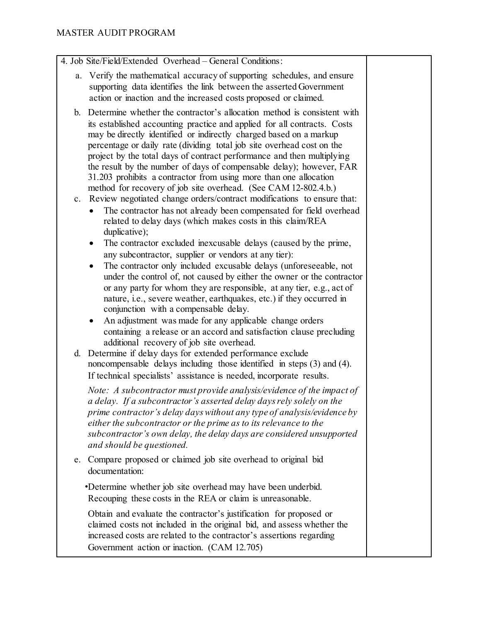- 4. Job Site/Field/Extended Overhead General Conditions:
	- a. Verify the mathematical accuracy of supporting schedules, and ensure supporting data identifies the link between the asserted Government action or inaction and the increased costs proposed or claimed.
	- b. Determine whether the contractor's allocation method is consistent with its established accounting practice and applied for all contracts. Costs may be directly identified or indirectly charged based on a markup percentage or daily rate (dividing total job site overhead cost on the project by the total days of contract performance and then multiplying the result by the number of days of compensable delay); however, FAR 31.203 prohibits a contractor from using more than one allocation method for recovery of job site overhead. (See CAM 12-802.4.b.)
	- c. Review negotiated change orders/contract modifications to ensure that:
		- The contractor has not already been compensated for field overhead related to delay days (which makes costs in this claim/REA duplicative);
		- The contractor excluded inexcusable delays (caused by the prime, any subcontractor, supplier or vendors at any tier):
		- The contractor only included excusable delays (unforeseeable, not under the control of, not caused by either the owner or the contractor or any party for whom they are responsible, at any tier, e.g., act of nature, i.e., severe weather, earthquakes, etc.) if they occurred in conjunction with a compensable delay.
		- An adjustment was made for any applicable change orders containing a release or an accord and satisfaction clause precluding additional recovery of job site overhead.
	- d. Determine if delay days for extended performance exclude noncompensable delays including those identified in steps (3) and (4). If technical specialists' assistance is needed, incorporate results.

*Note: A subcontractor must provide analysis/evidence of the impact of a delay. If a subcontractor's asserted delay days rely solely on the prime contractor's delay days without any type of analysis/evidence by either the subcontractor or the prime as to its relevance to the subcontractor's own delay, the delay days are considered unsupported and should be questioned.*

e. Compare proposed or claimed job site overhead to original bid documentation:

•Determine whether job site overhead may have been underbid. Recouping these costs in the REA or claim is unreasonable.

Obtain and evaluate the contractor's justification for proposed or claimed costs not included in the original bid, and assess whether the increased costs are related to the contractor's assertions regarding Government action or inaction. (CAM 12.705)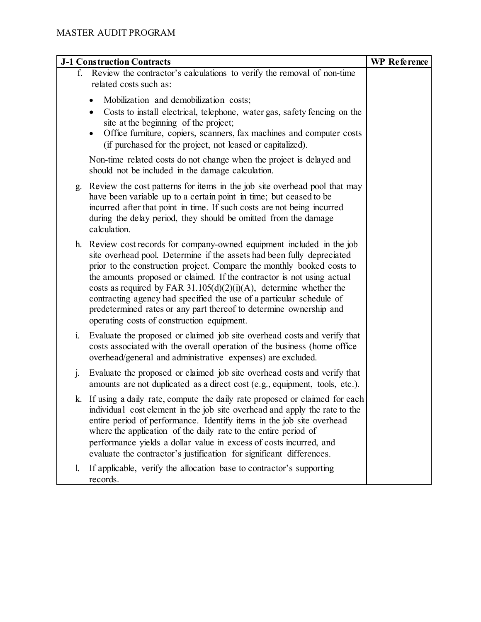|                | <b>J-1 Construction Contracts</b>                                                                                                                                                                                                                                                                                                                                                                                                                                                                                                                                      | <b>WP</b> Reference |
|----------------|------------------------------------------------------------------------------------------------------------------------------------------------------------------------------------------------------------------------------------------------------------------------------------------------------------------------------------------------------------------------------------------------------------------------------------------------------------------------------------------------------------------------------------------------------------------------|---------------------|
| f.             | Review the contractor's calculations to verify the removal of non-time<br>related costs such as:                                                                                                                                                                                                                                                                                                                                                                                                                                                                       |                     |
|                | Mobilization and demobilization costs;<br>Costs to install electrical, telephone, water gas, safety fencing on the<br>٠<br>site at the beginning of the project;<br>Office furniture, copiers, scanners, fax machines and computer costs<br>$\bullet$<br>(if purchased for the project, not leased or capitalized).                                                                                                                                                                                                                                                    |                     |
|                | Non-time related costs do not change when the project is delayed and<br>should not be included in the damage calculation.                                                                                                                                                                                                                                                                                                                                                                                                                                              |                     |
| g.             | Review the cost patterns for items in the job site overhead pool that may<br>have been variable up to a certain point in time; but ceased to be<br>incurred after that point in time. If such costs are not being incurred<br>during the delay period, they should be omitted from the damage<br>calculation.                                                                                                                                                                                                                                                          |                     |
|                | h. Review cost records for company-owned equipment included in the job<br>site overhead pool. Determine if the assets had been fully depreciated<br>prior to the construction project. Compare the monthly booked costs to<br>the amounts proposed or claimed. If the contractor is not using actual<br>costs as required by FAR 31.105(d)(2)(i)(A), determine whether the<br>contracting agency had specified the use of a particular schedule of<br>predetermined rates or any part thereof to determine ownership and<br>operating costs of construction equipment. |                     |
| $\mathbf{i}$ . | Evaluate the proposed or claimed job site overhead costs and verify that<br>costs associated with the overall operation of the business (home office<br>overhead/general and administrative expenses) are excluded.                                                                                                                                                                                                                                                                                                                                                    |                     |
| j.             | Evaluate the proposed or claimed job site overhead costs and verify that<br>amounts are not duplicated as a direct cost (e.g., equipment, tools, etc.).                                                                                                                                                                                                                                                                                                                                                                                                                |                     |
|                | k. If using a daily rate, compute the daily rate proposed or claimed for each<br>individual cost element in the job site overhead and apply the rate to the<br>entire period of performance. Identify items in the job site overhead<br>where the application of the daily rate to the entire period of<br>performance yields a dollar value in excess of costs incurred, and<br>evaluate the contractor's justification for significant differences.                                                                                                                  |                     |
| 1.             | If applicable, verify the allocation base to contractor's supporting<br>records.                                                                                                                                                                                                                                                                                                                                                                                                                                                                                       |                     |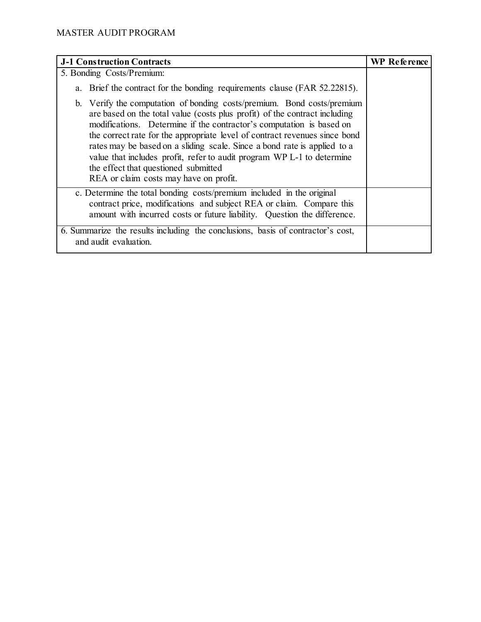| <b>J-1 Construction Contracts</b>                                                                                                                                                                                                                                                                                                                                                                                                                                                                                                                  | <b>WP</b> Reference |
|----------------------------------------------------------------------------------------------------------------------------------------------------------------------------------------------------------------------------------------------------------------------------------------------------------------------------------------------------------------------------------------------------------------------------------------------------------------------------------------------------------------------------------------------------|---------------------|
| 5. Bonding Costs/Premium:                                                                                                                                                                                                                                                                                                                                                                                                                                                                                                                          |                     |
| a. Brief the contract for the bonding requirements clause (FAR 52.22815).                                                                                                                                                                                                                                                                                                                                                                                                                                                                          |                     |
| b. Verify the computation of bonding costs/premium. Bond costs/premium<br>are based on the total value (costs plus profit) of the contract including<br>modifications. Determine if the contractor's computation is based on<br>the correct rate for the appropriate level of contract revenues since bond<br>rates may be based on a sliding scale. Since a bond rate is applied to a<br>value that includes profit, refer to audit program WP L-1 to determine<br>the effect that questioned submitted<br>REA or claim costs may have on profit. |                     |
| c. Determine the total bonding costs/premium included in the original<br>contract price, modifications and subject REA or claim. Compare this<br>amount with incurred costs or future liability. Question the difference.                                                                                                                                                                                                                                                                                                                          |                     |
| 6. Summarize the results including the conclusions, basis of contractor's cost,<br>and audit evaluation.                                                                                                                                                                                                                                                                                                                                                                                                                                           |                     |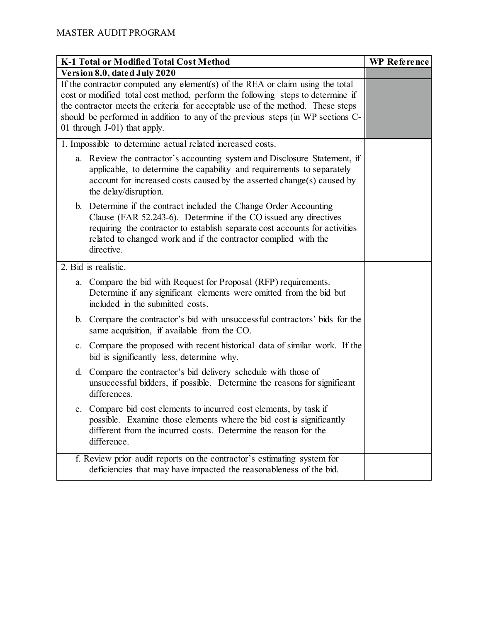| K-1 Total or Modified Total Cost Method                                                                                                                                                                                                                                                                                                                                | <b>WP</b> Reference |
|------------------------------------------------------------------------------------------------------------------------------------------------------------------------------------------------------------------------------------------------------------------------------------------------------------------------------------------------------------------------|---------------------|
| Version 8.0, dated July 2020                                                                                                                                                                                                                                                                                                                                           |                     |
| If the contractor computed any element(s) of the REA or claim using the total<br>cost or modified total cost method, perform the following steps to determine if<br>the contractor meets the criteria for acceptable use of the method. These steps<br>should be performed in addition to any of the previous steps (in WP sections C-<br>01 through J-01) that apply. |                     |
| 1. Impossible to determine actual related increased costs.                                                                                                                                                                                                                                                                                                             |                     |
| a. Review the contractor's accounting system and Disclosure Statement, if<br>applicable, to determine the capability and requirements to separately<br>account for increased costs caused by the asserted change(s) caused by<br>the delay/disruption.                                                                                                                 |                     |
| b. Determine if the contract included the Change Order Accounting<br>Clause (FAR 52.243-6). Determine if the CO issued any directives<br>requiring the contractor to establish separate cost accounts for activities<br>related to changed work and if the contractor complied with the<br>directive.                                                                  |                     |
| $\overline{2.}$ Bid is realistic.                                                                                                                                                                                                                                                                                                                                      |                     |
| Compare the bid with Request for Proposal (RFP) requirements.<br>a.<br>Determine if any significant elements were omitted from the bid but<br>included in the submitted costs.                                                                                                                                                                                         |                     |
| b. Compare the contractor's bid with unsuccessful contractors' bids for the<br>same acquisition, if available from the CO.                                                                                                                                                                                                                                             |                     |
| c. Compare the proposed with recent historical data of similar work. If the<br>bid is significantly less, determine why.                                                                                                                                                                                                                                               |                     |
| Compare the contractor's bid delivery schedule with those of<br>d.<br>unsuccessful bidders, if possible. Determine the reasons for significant<br>differences.                                                                                                                                                                                                         |                     |
| e. Compare bid cost elements to incurred cost elements, by task if<br>possible. Examine those elements where the bid cost is significantly<br>different from the incurred costs. Determine the reason for the<br>difference.                                                                                                                                           |                     |
| f. Review prior audit reports on the contractor's estimating system for<br>deficiencies that may have impacted the reasonableness of the bid.                                                                                                                                                                                                                          |                     |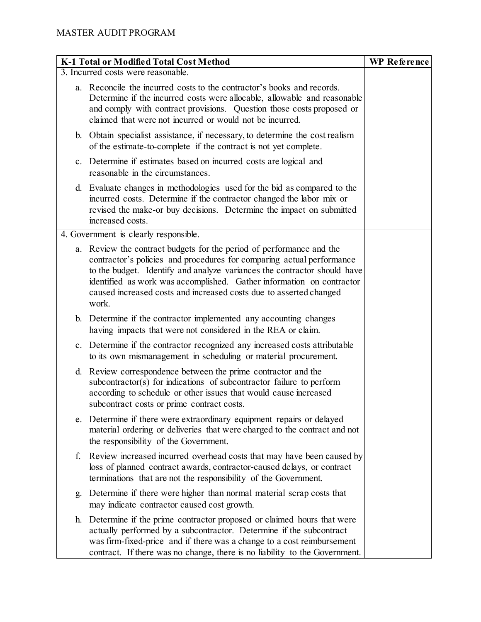|    | K-1 Total or Modified Total Cost Method                                                                                                                                                                                                                                                                                                                                           | <b>WP</b> Reference |
|----|-----------------------------------------------------------------------------------------------------------------------------------------------------------------------------------------------------------------------------------------------------------------------------------------------------------------------------------------------------------------------------------|---------------------|
|    | 3. Incurred costs were reasonable.                                                                                                                                                                                                                                                                                                                                                |                     |
|    | a. Reconcile the incurred costs to the contractor's books and records.<br>Determine if the incurred costs were allocable, allowable and reasonable<br>and comply with contract provisions. Question those costs proposed or<br>claimed that were not incurred or would not be incurred.                                                                                           |                     |
|    | b. Obtain specialist assistance, if necessary, to determine the cost realism<br>of the estimate-to-complete if the contract is not yet complete.                                                                                                                                                                                                                                  |                     |
|    | c. Determine if estimates based on incurred costs are logical and<br>reasonable in the circumstances.                                                                                                                                                                                                                                                                             |                     |
|    | d. Evaluate changes in methodologies used for the bid as compared to the<br>incurred costs. Determine if the contractor changed the labor mix or<br>revised the make-or buy decisions. Determine the impact on submitted<br>increased costs.                                                                                                                                      |                     |
|    | 4. Government is clearly responsible.                                                                                                                                                                                                                                                                                                                                             |                     |
|    | a. Review the contract budgets for the period of performance and the<br>contractor's policies and procedures for comparing actual performance<br>to the budget. Identify and analyze variances the contractor should have<br>identified as work was accomplished. Gather information on contractor<br>caused increased costs and increased costs due to asserted changed<br>work. |                     |
|    | b. Determine if the contractor implemented any accounting changes<br>having impacts that were not considered in the REA or claim.                                                                                                                                                                                                                                                 |                     |
|    | c. Determine if the contractor recognized any increased costs attributable<br>to its own mismanagement in scheduling or material procurement.                                                                                                                                                                                                                                     |                     |
| d. | Review correspondence between the prime contractor and the<br>subcontractor(s) for indications of subcontractor failure to perform<br>according to schedule or other issues that would cause increased<br>subcontract costs or prime contract costs.                                                                                                                              |                     |
|    | e. Determine if there were extraordinary equipment repairs or delayed<br>material ordering or deliveries that were charged to the contract and not<br>the responsibility of the Government.                                                                                                                                                                                       |                     |
| f. | Review increased incurred overhead costs that may have been caused by<br>loss of planned contract awards, contractor-caused delays, or contract<br>terminations that are not the responsibility of the Government.                                                                                                                                                                |                     |
| g. | Determine if there were higher than normal material scrap costs that<br>may indicate contractor caused cost growth.                                                                                                                                                                                                                                                               |                     |
|    | h. Determine if the prime contractor proposed or claimed hours that were<br>actually performed by a subcontractor. Determine if the subcontract<br>was firm-fixed-price and if there was a change to a cost reimbursement<br>contract. If there was no change, there is no liability to the Government.                                                                           |                     |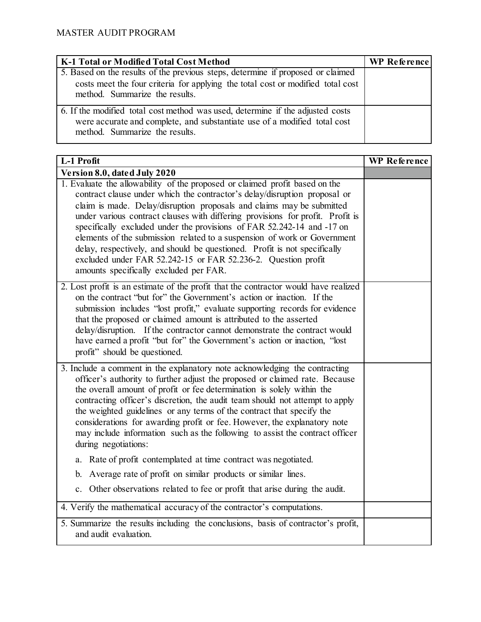| K-1 Total or Modified Total Cost Method                                                                                                                                                              | <b>WP Reference</b> |
|------------------------------------------------------------------------------------------------------------------------------------------------------------------------------------------------------|---------------------|
| 5. Based on the results of the previous steps, determine if proposed or claimed<br>costs meet the four criteria for applying the total cost or modified total cost<br>method. Summarize the results. |                     |
| 6. If the modified total cost method was used, determine if the adjusted costs<br>were accurate and complete, and substantiate use of a modified total cost<br>method. Summarize the results.        |                     |

| L-1 Profit                                                                                                                                                                                                                                                                                                                                                                                                                                                                                                                                                                                                                                                        | <b>WP</b> Reference |
|-------------------------------------------------------------------------------------------------------------------------------------------------------------------------------------------------------------------------------------------------------------------------------------------------------------------------------------------------------------------------------------------------------------------------------------------------------------------------------------------------------------------------------------------------------------------------------------------------------------------------------------------------------------------|---------------------|
| Version 8.0, dated July 2020                                                                                                                                                                                                                                                                                                                                                                                                                                                                                                                                                                                                                                      |                     |
| 1. Evaluate the allowability of the proposed or claimed profit based on the<br>contract clause under which the contractor's delay/disruption proposal or<br>claim is made. Delay/disruption proposals and claims may be submitted<br>under various contract clauses with differing provisions for profit. Profit is<br>specifically excluded under the provisions of FAR 52.242-14 and -17 on<br>elements of the submission related to a suspension of work or Government<br>delay, respectively, and should be questioned. Profit is not specifically<br>excluded under FAR 52.242-15 or FAR 52.236-2. Question profit<br>amounts specifically excluded per FAR. |                     |
| 2. Lost profit is an estimate of the profit that the contractor would have realized<br>on the contract "but for" the Government's action or inaction. If the<br>submission includes "lost profit," evaluate supporting records for evidence<br>that the proposed or claimed amount is attributed to the asserted<br>delay/disruption. If the contractor cannot demonstrate the contract would<br>have earned a profit "but for" the Government's action or inaction, "lost<br>profit" should be questioned.                                                                                                                                                       |                     |
| 3. Include a comment in the explanatory note acknowledging the contracting<br>officer's authority to further adjust the proposed or claimed rate. Because<br>the overall amount of profit or fee determination is solely within the<br>contracting officer's discretion, the audit team should not attempt to apply<br>the weighted guidelines or any terms of the contract that specify the<br>considerations for awarding profit or fee. However, the explanatory note<br>may include information such as the following to assist the contract officer<br>during negotiations:                                                                                  |                     |
| Rate of profit contemplated at time contract was negotiated.<br>a.                                                                                                                                                                                                                                                                                                                                                                                                                                                                                                                                                                                                |                     |
| Average rate of profit on similar products or similar lines.<br>b.                                                                                                                                                                                                                                                                                                                                                                                                                                                                                                                                                                                                |                     |
| c. Other observations related to fee or profit that arise during the audit.                                                                                                                                                                                                                                                                                                                                                                                                                                                                                                                                                                                       |                     |
| 4. Verify the mathematical accuracy of the contractor's computations.                                                                                                                                                                                                                                                                                                                                                                                                                                                                                                                                                                                             |                     |
| 5. Summarize the results including the conclusions, basis of contractor's profit,<br>and audit evaluation.                                                                                                                                                                                                                                                                                                                                                                                                                                                                                                                                                        |                     |